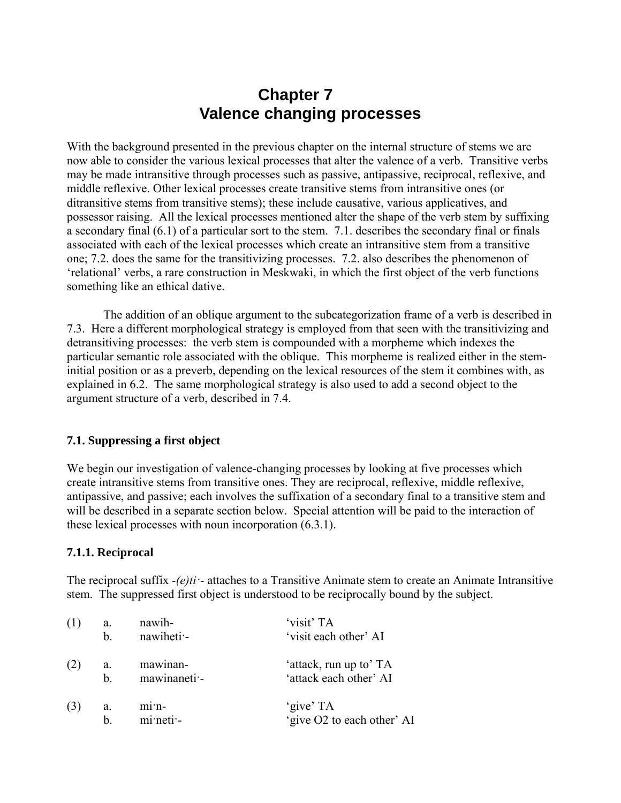# **Chapter 7 Valence changing processes**

With the background presented in the previous chapter on the internal structure of stems we are now able to consider the various lexical processes that alter the valence of a verb. Transitive verbs may be made intransitive through processes such as passive, antipassive, reciprocal, reflexive, and middle reflexive. Other lexical processes create transitive stems from intransitive ones (or ditransitive stems from transitive stems); these include causative, various applicatives, and possessor raising. All the lexical processes mentioned alter the shape of the verb stem by suffixing a secondary final (6.1) of a particular sort to the stem. 7.1. describes the secondary final or finals associated with each of the lexical processes which create an intransitive stem from a transitive one; 7.2. does the same for the transitivizing processes. 7.2. also describes the phenomenon of 'relational' verbs, a rare construction in Meskwaki, in which the first object of the verb functions something like an ethical dative.

The addition of an oblique argument to the subcategorization frame of a verb is described in 7.3. Here a different morphological strategy is employed from that seen with the transitivizing and detransitiving processes: the verb stem is compounded with a morpheme which indexes the particular semantic role associated with the oblique. This morpheme is realized either in the steminitial position or as a preverb, depending on the lexical resources of the stem it combines with, as explained in 6.2. The same morphological strategy is also used to add a second object to the argument structure of a verb, described in 7.4.

#### **7.1. Suppressing a first object**

We begin our investigation of valence-changing processes by looking at five processes which create intransitive stems from transitive ones. They are reciprocal, reflexive, middle reflexive, antipassive, and passive; each involves the suffixation of a secondary final to a transitive stem and will be described in a separate section below. Special attention will be paid to the interaction of these lexical processes with noun incorporation (6.3.1).

## **7.1.1. Reciprocal**

The reciprocal suffix *-(e)ti·*- attaches to a Transitive Animate stem to create an Animate Intransitive stem. The suppressed first object is understood to be reciprocally bound by the subject.

| (1) | a.             | nawih-                          | 'visit' TA                 |
|-----|----------------|---------------------------------|----------------------------|
|     | $\mathbf{b}$ . | nawiheti -                      | 'visit each other' AI      |
| (2) | a.             | mawinan-                        | 'attack, run up to' TA     |
|     | <sub>b</sub>   | mawinaneti -                    | 'attack each other' AI     |
|     | a.             | $m1$ <sup><math>n-</math></sup> | 'give' TA                  |
|     | b.             | mi neti -                       | 'give O2 to each other' AI |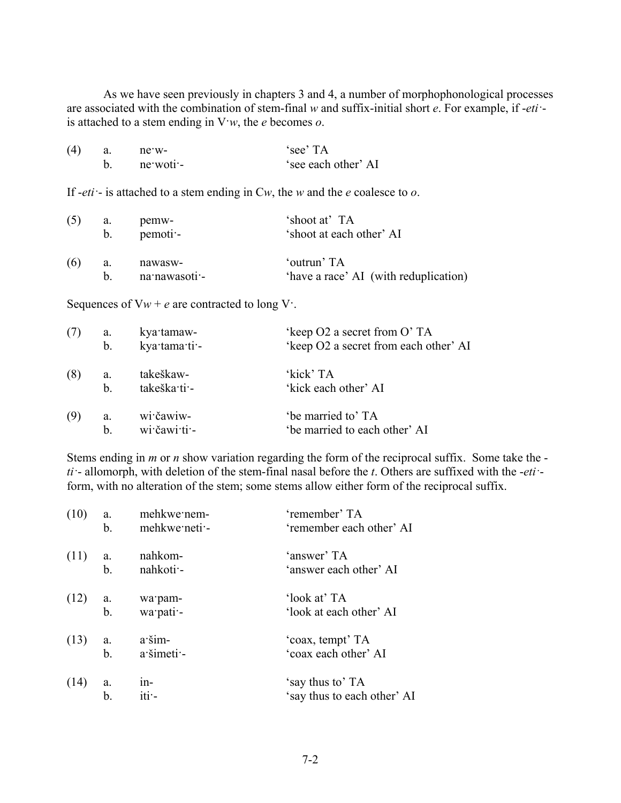As we have seen previously in chapters 3 and 4, a number of morphophonological processes are associated with the combination of stem-final *w* and suffix-initial short *e*. For example, if -*eti·* is attached to a stem ending in V·*w*, the *e* becomes *o*.

| (4) | a.            | $ne$ $w$ -                                                                              | 'see' TA                                  |
|-----|---------------|-----------------------------------------------------------------------------------------|-------------------------------------------|
|     | $b_{-}$       | $ne$ woti -                                                                             | 'see each other' AI                       |
|     |               | If - <i>eti</i> - is attached to a stem ending in $Cw$ , the w and the e coalesce to o. |                                           |
| (5) | a.<br>$b_{-}$ | pemw-<br>pemoti-                                                                        | 'shoot at' TA<br>'shoot at each other' AI |

| (6) | nawasw-          | 'outrun' TA                           |
|-----|------------------|---------------------------------------|
|     | b. na nawasoti - | 'have a race' AI (with reduplication) |

Sequences of  $Vw + e$  are contracted to long  $V$ .

| (7) | a.            | kya tamaw-    | 'keep O2 a secret from O'TA           |
|-----|---------------|---------------|---------------------------------------|
|     | $b_{\cdot}$   | kya·tama·ti·- | 'keep O2 a secret from each other' AI |
| (8) | a.            | takeškaw-     | 'kick' TA                             |
|     | <sub>b</sub>  | takeška ti -  | 'kick each other' AI                  |
| (9) | a.            | wi čawiw-     | 'be married to' TA                    |
|     | $\mathbf b$ . | wi čawi ti -  | 'be married to each other' AI         |

Stems ending in *m* or *n* show variation regarding the form of the reciprocal suffix. Some take the *ti·*- allomorph, with deletion of the stem-final nasal before the *t*. Others are suffixed with the -*eti·* form, with no alteration of the stem; some stems allow either form of the reciprocal suffix.

| (10) | a.  | mehkwe nem-      | 'remember' TA               |
|------|-----|------------------|-----------------------------|
|      | b.  | mehkwe neti -    | 'remember each other' AI    |
| (11) | a.  | nahkom-          | 'answer' TA                 |
|      | b.  | nahkoti -        | 'answer each other' AI      |
| (12) | a.  | wa pam-          | 'look at' TA                |
|      | b.  | wa pati -        | 'look at each other' AI     |
| (13) | a.  | a šim-           | 'coax, tempt' TA            |
|      | b.  | a šimeti -       | 'coax each other' AI        |
| (14) | a.  | $1n-$            | 'say thus to' TA            |
|      | $b$ | iti <sup>-</sup> | 'say thus to each other' AI |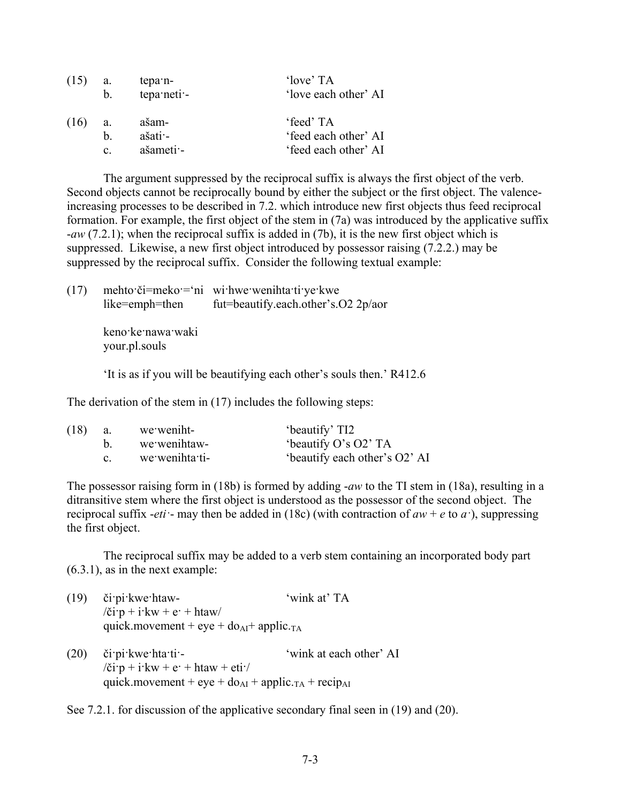| (15) | a.             | tepa n-            | 'love' TA            |
|------|----------------|--------------------|----------------------|
|      | $b_{-}$        | tepa neti -        | 'love each other' AI |
| (16) | a.             | ašam-              | 'feed' TA            |
|      | h.             | $a$ šati $\cdot$ - | 'feed each other' AI |
|      | $\mathbf{c}$ . | ašameti -          | 'feed each other' AI |

The argument suppressed by the reciprocal suffix is always the first object of the verb. Second objects cannot be reciprocally bound by either the subject or the first object. The valenceincreasing processes to be described in 7.2. which introduce new first objects thus feed reciprocal formation. For example, the first object of the stem in (7a) was introduced by the applicative suffix -*aw* (7.2.1); when the reciprocal suffix is added in (7b), it is the new first object which is suppressed. Likewise, a new first object introduced by possessor raising (7.2.2.) may be suppressed by the reciprocal suffix. Consider the following textual example:

(17) mehto·či=meko·='ni wi·hwe·wenihta·ti·ye·kwe like=emph=then fut=beautify.each.other's.O2 2p/aor

> keno·ke·nawa·waki your.pl.souls

'It is as if you will be beautifying each other's souls then.' R412.6

The derivation of the stem in (17) includes the following steps:

| (18) | a. | we weniht-      | 'beautify' TI2                |
|------|----|-----------------|-------------------------------|
|      |    | we we unit taw- | 'beautify O's O2' TA          |
|      |    | we wenihta ti-  | 'beautify each other's O2' AI |

The possessor raising form in (18b) is formed by adding -*aw* to the TI stem in (18a), resulting in a ditransitive stem where the first object is understood as the possessor of the second object. The reciprocal suffix -*eti* · may then be added in (18c) (with contraction of  $aw + e$  to  $a$ <sup>-</sup>), suppressing the first object.

The reciprocal suffix may be added to a verb stem containing an incorporated body part (6.3.1), as in the next example:

| (19) | či pi kwe htaw-                                             | 'wink at' TA |
|------|-------------------------------------------------------------|--------------|
|      | $\chi$ i p + i kw + e · + htaw                              |              |
|      | quick movement + eye + $d\rho_{AI}$ + applic. <sub>TA</sub> |              |

(20) či·pi·kwe·hta·ti·- 'wink at each other' AI  $\chi$ či·p + i·kw + e· + htaw + eti·/ quick.movement + eye +  $do<sub>AI</sub>$  + applic.<sub>TA</sub> + recip<sub>AI</sub>

See 7.2.1. for discussion of the applicative secondary final seen in (19) and (20).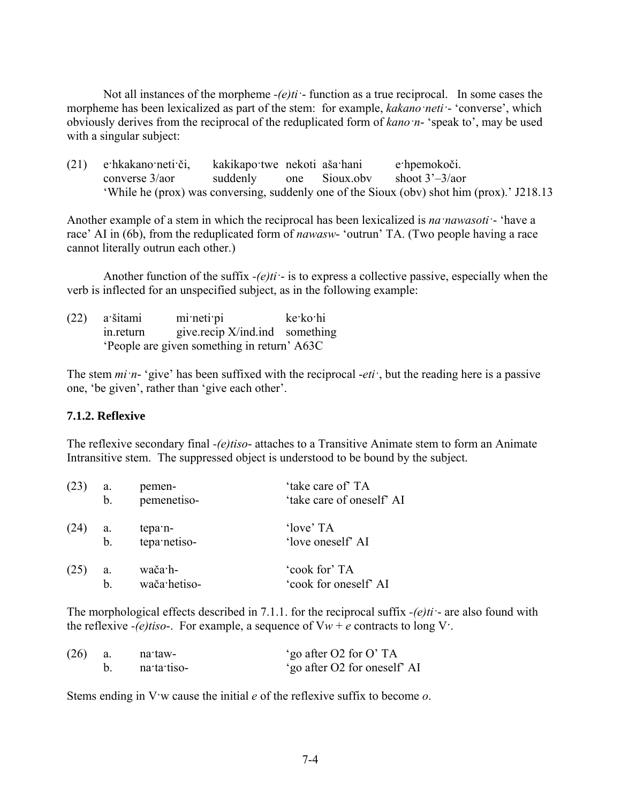Not all instances of the morpheme *-(e)ti·*- function as a true reciprocal. In some cases the morpheme has been lexicalized as part of the stem: for example, *kakano·neti·*- 'converse', which obviously derives from the reciprocal of the reduplicated form of *kano·n*- 'speak to', may be used with a singular subject:

(21) e·hkakano·neti·či, kakikapo·twe nekoti aša·hani e·hpemokoči. converse 3/aor suddenly one Sioux.obv shoot 3'–3/aor 'While he (prox) was conversing, suddenly one of the Sioux (obv) shot him (prox).' J218.13

Another example of a stem in which the reciprocal has been lexicalized is *na·nawasoti·*- 'have a race' AI in (6b), from the reduplicated form of *nawasw*- 'outrun' TA. (Two people having a race cannot literally outrun each other.)

Another function of the suffix *-(e)ti·*- is to express a collective passive, especially when the verb is inflected for an unspecified subject, as in the following example:

| $(22)$ a šitami | $m$ i neti pi                              | ke ko hi |
|-----------------|--------------------------------------------|----------|
| in.return       | give.recip X/ind.ind something             |          |
|                 | People are given something in return' A63C |          |

The stem *mi·n*- 'give' has been suffixed with the reciprocal -*eti·*, but the reading here is a passive one, 'be given', rather than 'give each other'.

## **7.1.2. Reflexive**

The reflexive secondary final *-(e)tiso*- attaches to a Transitive Animate stem to form an Animate Intransitive stem. The suppressed object is understood to be bound by the subject.

| (23) | a. | pemen-       | 'take care of' TA         |
|------|----|--------------|---------------------------|
|      | b. | pemenetiso-  | 'take care of oneself' AI |
| (24) | a. | tepa n-      | 'love' TA                 |
|      | b. | tepa netiso- | 'love oneself' AI         |
| (25) | a. | wača·h-      | 'cook for' TA             |
|      | h  | wača·hetiso- | 'cook for oneself' AI     |

The morphological effects described in 7.1.1. for the reciprocal suffix *-(e)ti·*- are also found with the reflexive  $-(e)$ *tiso*-. For example, a sequence of  $Vw + e$  contracts to long  $V$ .

| (26) | na taw-     | 'go after O2 for O' TA       |
|------|-------------|------------------------------|
|      | na ta tiso- | 'go after O2 for oneself' AI |

Stems ending in V·w cause the initial *e* of the reflexive suffix to become *o*.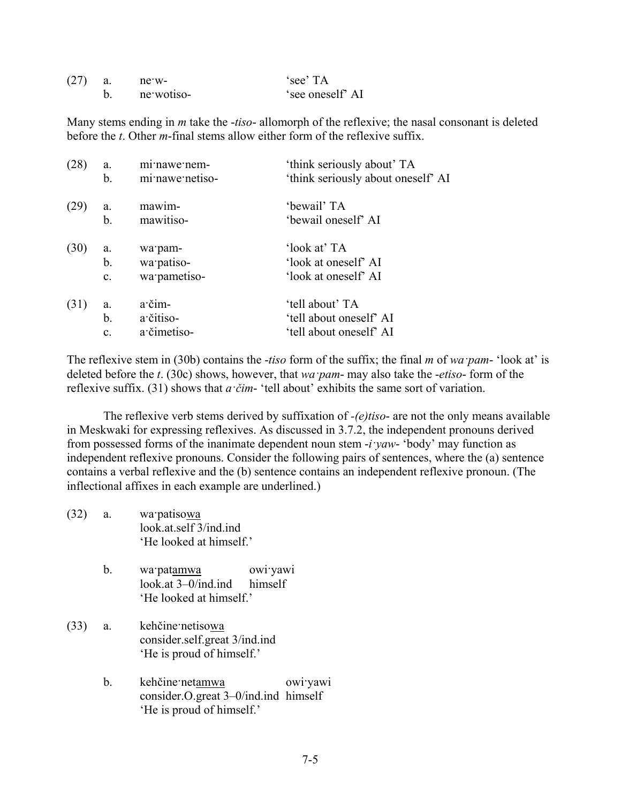| (27) | ne w-      | 'see' TA         |
|------|------------|------------------|
|      | ne wotiso- | 'see oneself' AI |

Many stems ending in *m* take the -*tiso*- allomorph of the reflexive; the nasal consonant is deleted before the *t*. Other *m*-final stems allow either form of the reflexive suffix.

| a.<br>b.       | mi nawe nem-<br>mi nawe netiso- | 'think seriously about' TA<br>'think seriously about oneself' AI |
|----------------|---------------------------------|------------------------------------------------------------------|
| a.             | mawim-                          | 'bewail' TA                                                      |
| b.             | mawitiso-                       | 'bewail oneself' AI                                              |
| a.             | wa pam-                         | 'look at' TA                                                     |
| b.             | wa patiso-                      | 'look at oneself' AI                                             |
| $\mathbf{c}$ . | wa pametiso-                    | 'look at oneself' AI                                             |
| a.             | a čim-                          | 'tell about' TA                                                  |
| b.             | a čitiso-                       | 'tell about oneself' AI                                          |
| $\mathbf{c}$ . | a čimetiso-                     | 'tell about oneself' AI                                          |
|                |                                 |                                                                  |

The reflexive stem in (30b) contains the -*tiso* form of the suffix; the final *m* of *wa·pam*- 'look at' is deleted before the *t*. (30c) shows, however, that *wa·pam*- may also take the -*etiso*- form of the reflexive suffix. (31) shows that *a·čim*- 'tell about' exhibits the same sort of variation.

The reflexive verb stems derived by suffixation of *-(e)tiso*- are not the only means available in Meskwaki for expressing reflexives. As discussed in 3.7.2, the independent pronouns derived from possessed forms of the inanimate dependent noun stem -*i·yaw*- 'body' may function as independent reflexive pronouns. Consider the following pairs of sentences, where the (a) sentence contains a verbal reflexive and the (b) sentence contains an independent reflexive pronoun. (The inflectional affixes in each example are underlined.)

- (32) a. wa·patisowa look.at.self 3/ind.ind 'He looked at himself.'
	- b. wa·patamwa owi·yawi look.at 3–0/ind.ind himself 'He looked at himself.'
- (33) a. kehčine·netisowa consider.self.great 3/ind.ind 'He is proud of himself.'
	- b. kehčine·netamwa owi·yawi consider.O.great 3–0/ind.ind himself 'He is proud of himself.'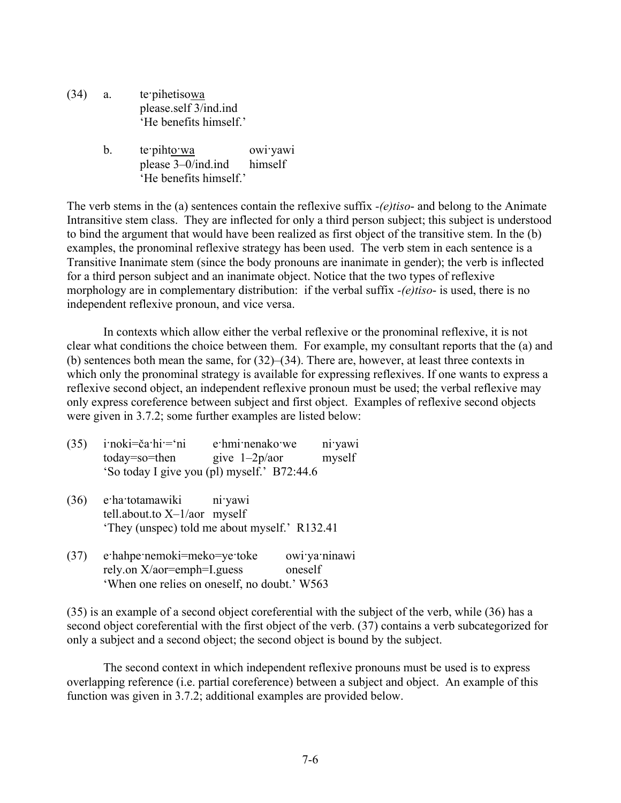- (34) a. te·pihetisowa please.self 3/ind.ind 'He benefits himself.'
	- b. te<sup>pihto</sup>wa owi<sup>-yawi</sup> please 3–0/ind.ind himself 'He benefits himself.'

The verb stems in the (a) sentences contain the reflexive suffix *-(e)tiso*- and belong to the Animate Intransitive stem class. They are inflected for only a third person subject; this subject is understood to bind the argument that would have been realized as first object of the transitive stem. In the (b) examples, the pronominal reflexive strategy has been used. The verb stem in each sentence is a Transitive Inanimate stem (since the body pronouns are inanimate in gender); the verb is inflected for a third person subject and an inanimate object. Notice that the two types of reflexive morphology are in complementary distribution: if the verbal suffix *-(e)tiso*- is used, there is no independent reflexive pronoun, and vice versa.

In contexts which allow either the verbal reflexive or the pronominal reflexive, it is not clear what conditions the choice between them. For example, my consultant reports that the (a) and (b) sentences both mean the same, for (32)–(34). There are, however, at least three contexts in which only the pronominal strategy is available for expressing reflexives. If one wants to express a reflexive second object, an independent reflexive pronoun must be used; the verbal reflexive may only express coreference between subject and first object. Examples of reflexive second objects were given in 3.7.2; some further examples are listed below:

| (35) | i·noki=ča·hi·='ni | e hmi nenako we                             | ni yawi |
|------|-------------------|---------------------------------------------|---------|
|      | today=so=then     | give $1-2p/a$                               | myself  |
|      |                   | 'So today I give you (pl) myself.' B72:44.6 |         |

- (36) e·ha·totamawiki ni·yawi tell.about.to X–1/aor myself 'They (unspec) told me about myself.' R132.41
- (37) e·hahpe·nemoki=meko=ye·toke owi·ya·ninawi rely.on X/aor=emph=I.guess oneself 'When one relies on oneself, no doubt.' W563

(35) is an example of a second object coreferential with the subject of the verb, while (36) has a second object coreferential with the first object of the verb. (37) contains a verb subcategorized for only a subject and a second object; the second object is bound by the subject.

The second context in which independent reflexive pronouns must be used is to express overlapping reference (i.e. partial coreference) between a subject and object. An example of this function was given in 3.7.2; additional examples are provided below.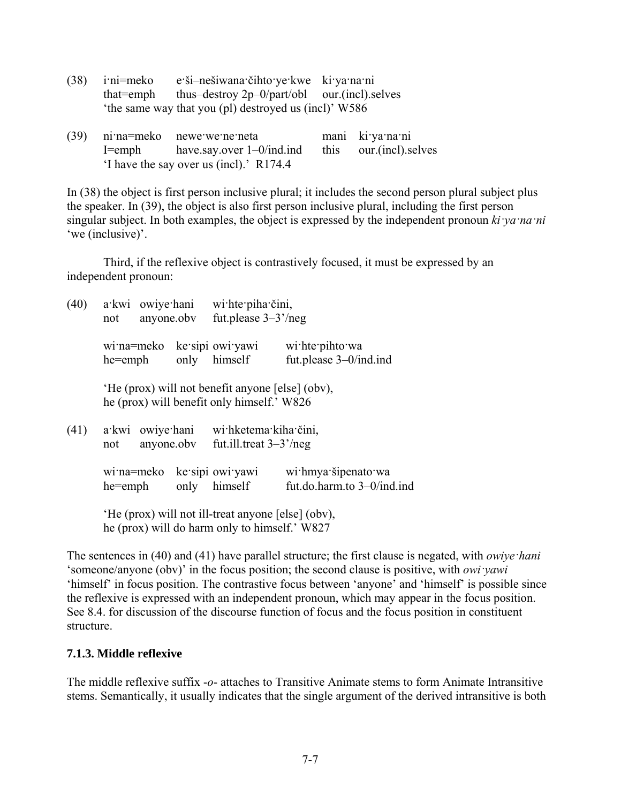| $(38)$ i'ni=meko | e ši-nešiwana čihto ye kwe ki ya na ni                    |  |
|------------------|-----------------------------------------------------------|--|
|                  | that=emph thus-destroy $2p-0$ /part/obl our.(incl).selves |  |
|                  | 'the same way that you (pl) destroyed us (incl)' W586     |  |

|  | $(39)$ nima=meko newe we nemeta                        | mani ki ya na ni       |
|--|--------------------------------------------------------|------------------------|
|  | $I = \text{emph}$ have say over $1 - 0/\text{ind}$ ind | this our (incl) selves |
|  | 'I have the say over us (incl).' R174.4                |                        |

In (38) the object is first person inclusive plural; it includes the second person plural subject plus the speaker. In (39), the object is also first person inclusive plural, including the first person singular subject. In both examples, the object is expressed by the independent pronoun *ki·ya·na·ni* 'we (inclusive)'.

Third, if the reflexive object is contrastively focused, it must be expressed by an independent pronoun:

| (40) | not                                                                                                 | a kwi owiye hani | anyone.obv | wi hte piha čini,<br>fut.please $3-3^{\prime}/neg$                                             |                                                   |
|------|-----------------------------------------------------------------------------------------------------|------------------|------------|------------------------------------------------------------------------------------------------|---------------------------------------------------|
|      | he=emph                                                                                             |                  |            | wi:na=meko ke:sipi owi:yawi<br>only himself                                                    | wi.hte.pihto.wa<br>fut.please 3-0/ind.ind         |
|      |                                                                                                     |                  |            | 'He (prox) will not benefit anyone [else] (obv),<br>he (prox) will benefit only himself.' W826 |                                                   |
| (41) | not                                                                                                 | a kwi owiye hani | anyone.obv | wi hketema kiha čini,<br>fut.ill.treat $3-3^{\prime}/\text{neg}$                               |                                                   |
|      | he=emph                                                                                             |                  |            | wi:na=meko ke:sipi owi:yawi<br>only himself                                                    | wi hmya šipenato wa<br>fut.do.harm.to 3-0/ind.ind |
|      | 'He (prox) will not ill-treat anyone [else] (obv),<br>he (prox) will do harm only to himself.' W827 |                  |            |                                                                                                |                                                   |

The sentences in (40) and (41) have parallel structure; the first clause is negated, with *owiye·hani* 'someone/anyone (obv)' in the focus position; the second clause is positive, with *owi·yawi* 'himself' in focus position. The contrastive focus between 'anyone' and 'himself' is possible since the reflexive is expressed with an independent pronoun, which may appear in the focus position. See 8.4. for discussion of the discourse function of focus and the focus position in constituent structure.

## **7.1.3. Middle reflexive**

The middle reflexive suffix -*o*- attaches to Transitive Animate stems to form Animate Intransitive stems. Semantically, it usually indicates that the single argument of the derived intransitive is both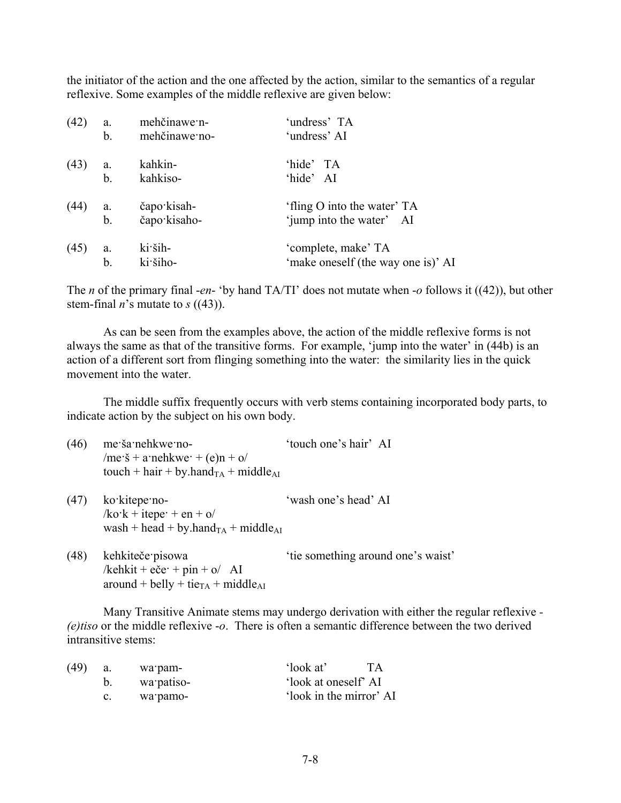the initiator of the action and the one affected by the action, similar to the semantics of a regular reflexive. Some examples of the middle reflexive are given below:

| (42) | a.  | mehčinawe n-  | 'undress' TA                       |
|------|-----|---------------|------------------------------------|
|      | b.  | mehčinawe no- | 'undress' AI                       |
| (43) | a.  | kahkin-       | 'hide' TA                          |
|      | b.  | kahkiso-      | 'hide' AI                          |
| (44) | a.  | čapo kisah-   | 'fling O into the water' TA        |
|      | b.  | čapo kisaho-  | 'jump into the water' AI           |
| (45) | a.  | ki ših-       | 'complete, make' TA                |
|      | $b$ | ki šiho-      | 'make oneself (the way one is)' AI |

The *n* of the primary final -*en*- 'by hand TA/TI' does not mutate when -*o* follows it ((42)), but other stem-final *n*'s mutate to *s* ((43)).

As can be seen from the examples above, the action of the middle reflexive forms is not always the same as that of the transitive forms. For example, 'jump into the water' in (44b) is an action of a different sort from flinging something into the water: the similarity lies in the quick movement into the water.

The middle suffix frequently occurs with verb stems containing incorporated body parts, to indicate action by the subject on his own body.

| (46) | me ša nehkwe no-                                            | 'touch one's hair' AI |
|------|-------------------------------------------------------------|-----------------------|
|      | /me· $\check{s}$ + a·nehkwe· + (e)n + o/                    |                       |
|      | touch + hair + by.hand <sub>TA</sub> + middle <sub>AI</sub> |                       |
| (47) | ko kitepe no-                                               | 'wash one's head' AI  |
|      | $k\sigma$ k + itepe + en + $\sigma$                         |                       |
|      | wash + head + by.hand $_{TA}$ + middle <sub>AI</sub>        |                       |

(48) kehkiteče·pisowa 'tie something around one's waist' /kehkit + eče $\cdot$  + pin + o/ AI around + belly + tie<sub>TA</sub> + middle<sub>AI</sub>

Many Transitive Animate stems may undergo derivation with either the regular reflexive *- (e)tiso* or the middle reflexive -*o*. There is often a semantic difference between the two derived intransitive stems:

| (49) |    | wa pam-    | 'look at'               | <b>TA</b> |
|------|----|------------|-------------------------|-----------|
|      |    | wa patiso- | 'look at oneself' AI    |           |
|      | C. | wa pamo-   | 'look in the mirror' AI |           |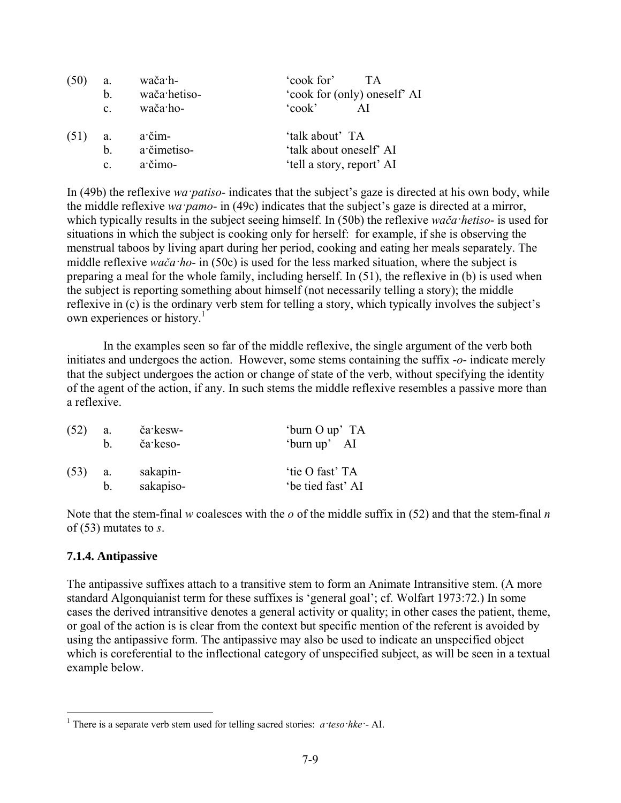|      | a.             | wača·h-      | 'cook for'<br>TA.            |
|------|----------------|--------------|------------------------------|
|      | b.             | wača·hetiso- | 'cook for (only) oneself' AI |
|      | $\mathbf{c}$ . | wača ho-     | $\text{cook}$                |
| (51) | a.             | a čim-       | 'talk about' TA              |
|      | $\mathbf{b}$ . | a čimetiso-  | 'talk about oneself' AI      |
|      | $\mathbf{c}$ . | a čimo-      | 'tell a story, report' AI    |

In (49b) the reflexive *wa·patiso*- indicates that the subject's gaze is directed at his own body, while the middle reflexive *wa·pamo*- in (49c) indicates that the subject's gaze is directed at a mirror, which typically results in the subject seeing himself. In (50b) the reflexive *wača·hetiso*- is used for situations in which the subject is cooking only for herself: for example, if she is observing the menstrual taboos by living apart during her period, cooking and eating her meals separately. The middle reflexive *wača·ho*- in (50c) is used for the less marked situation, where the subject is preparing a meal for the whole family, including herself. In (51), the reflexive in (b) is used when the subject is reporting something about himself (not necessarily telling a story); the middle reflexive in (c) is the ordinary verb stem for telling a story, which typically involves the subject's own experiences or history.<sup>1</sup>

In the examples seen so far of the middle reflexive, the single argument of the verb both initiates and undergoes the action. However, some stems containing the suffix -*o*- indicate merely that the subject undergoes the action or change of state of the verb, without specifying the identity of the agent of the action, if any. In such stems the middle reflexive resembles a passive more than a reflexive.

| (52) | a. | ča kesw-  | 'burn O up' TA    |
|------|----|-----------|-------------------|
|      | h. | ča keso-  | 'burn up' AI      |
| (53) | a. | sakapin-  | 'tie O fast' TA   |
|      | b. | sakapiso- | 'be tied fast' AI |

Note that the stem-final *w* coalesces with the *o* of the middle suffix in (52) and that the stem-final *n* of (53) mutates to *s*.

## **7.1.4. Antipassive**

<u>.</u>

The antipassive suffixes attach to a transitive stem to form an Animate Intransitive stem. (A more standard Algonquianist term for these suffixes is 'general goal'; cf. Wolfart 1973:72.) In some cases the derived intransitive denotes a general activity or quality; in other cases the patient, theme, or goal of the action is is clear from the context but specific mention of the referent is avoided by using the antipassive form. The antipassive may also be used to indicate an unspecified object which is coreferential to the inflectional category of unspecified subject, as will be seen in a textual example below.

<sup>1</sup> There is a separate verb stem used for telling sacred stories: *a·teso·hke·*- AI.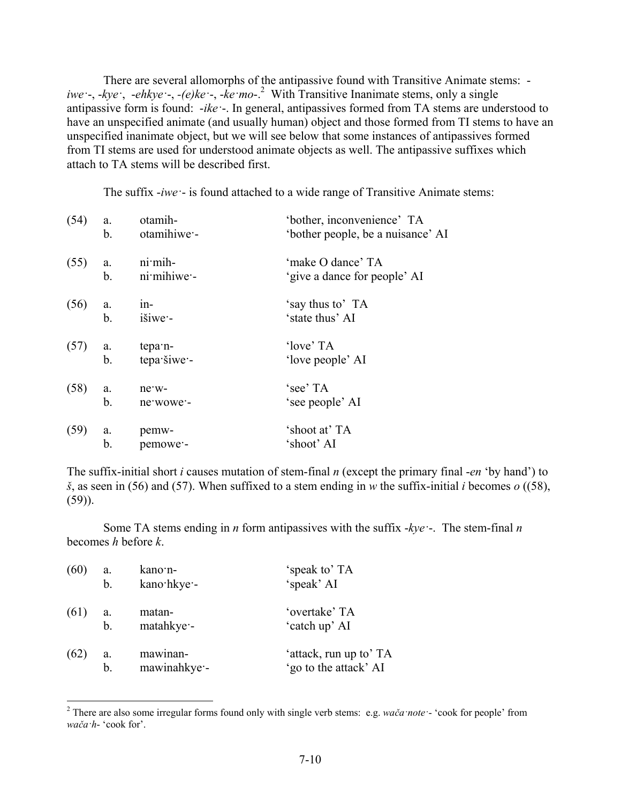There are several allomorphs of the antipassive found with Transitive Animate stems: *iwe·*-, -*kye·*, -*ehkye·*-, *-(e)ke·*-, -*ke·mo*-.2 With Transitive Inanimate stems, only a single antipassive form is found: -*ike·*-. In general, antipassives formed from TA stems are understood to have an unspecified animate (and usually human) object and those formed from TI stems to have an unspecified inanimate object, but we will see below that some instances of antipassives formed from TI stems are used for understood animate objects as well. The antipassive suffixes which attach to TA stems will be described first.

The suffix -*iwe·*- is found attached to a wide range of Transitive Animate stems:

| (54) | a.          | otamih-     | 'bother, inconvenience' TA        |
|------|-------------|-------------|-----------------------------------|
|      | b.          | otamihiwe - | 'bother people, be a nuisance' AI |
| (55) | a.          | $ni$ mih-   | 'make O dance' TA                 |
|      | b.          | ni mihiwe - | 'give a dance for people' AI      |
| (56) | a.          | $1n-$       | 'say thus to' TA                  |
|      | $b_{\cdot}$ | išiwe -     | 'state thus' AI                   |
| (57) | a.          | tepa n-     | 'love' TA                         |
|      | b.          | tepa šiwe - | 'love people' AI                  |
| (58) | a.          | ne w-       | 'see' TA                          |
|      | b.          | ne wowe -   | 'see people' AI                   |
| (59) | a.          | pemw-       | 'shoot at' TA                     |
|      | b.          | pemowe -    | 'shoot' AI                        |

The suffix-initial short *i* causes mutation of stem-final *n* (except the primary final -*en* 'by hand') to *š*, as seen in (56) and (57). When suffixed to a stem ending in *w* the suffix-initial *i* becomes *o* ((58), (59)).

Some TA stems ending in *n* form antipassives with the suffix -*kye·*-. The stem-final *n* becomes *h* before *k*.

| (60) | a.             | kano n-     | 'speak to' TA          |
|------|----------------|-------------|------------------------|
|      | b <sub>1</sub> | kano hkye - | 'speak' AI             |
| (61) | а.             | matan-      | 'overtake' TA          |
|      | $\mathbf b$ .  | matahkye -  | 'catch up' AI          |
| (62) | a.             | mawinan-    | 'attack, run up to' TA |
|      | b.             | mawinahkye- | 'go to the attack' AI  |

 2 There are also some irregular forms found only with single verb stems: e.g. *wača·note·*- 'cook for people' from *wača·h*- 'cook for'.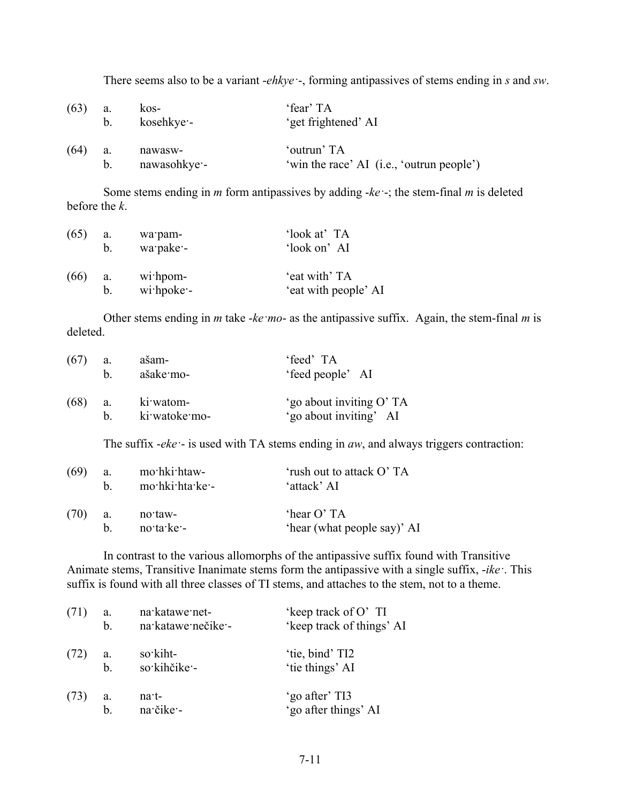There seems also to be a variant -*ehkye·*-, forming antipassives of stems ending in *s* and *sw*.

| (63) | a.          | kos-         | 'fear' TA                                 |
|------|-------------|--------------|-------------------------------------------|
|      | $b_{\perp}$ | kosehkye:-   | 'get frightened' AI                       |
| (64) | a.          | nawasw-      | 'outrun' TA                               |
|      | $b_{\perp}$ | nawasohkye - | 'win the race' AI (i.e., 'outrun people') |

Some stems ending in *m* form antipassives by adding -*ke·*-; the stem-final *m* is deleted before the *k*.

| (65) | a.          | wa pam-       | 'look at' TA         |
|------|-------------|---------------|----------------------|
|      | $b_{\cdot}$ | wa pake -     | 'look on' AI         |
| (66) | a.          | $w$ i hpom-   | 'eat with' TA        |
|      | b.          | $w$ i hpoke - | 'eat with people' AI |

Other stems ending in *m* take -*ke·mo*- as the antipassive suffix. Again, the stem-final *m* is deleted.

| (67) | a. | ašam-         | 'feed' TA                |
|------|----|---------------|--------------------------|
|      | h. | ašake mo-     | 'feed people' AI         |
| (68) | a. | ki watom-     | 'go about inviting O' TA |
|      | h. | ki watoke mo- | 'go about inviting' AI   |

The suffix -*eke·*- is used with TA stems ending in *aw*, and always triggers contraction:

| (69) | a. | mo hki htaw-    | 'rush out to attack O' TA   |
|------|----|-----------------|-----------------------------|
|      | h. | mo hki hta ke - | 'attack' AI                 |
| (70) | a. | no taw-         | 'hear O' TA                 |
|      | h. | no ta ke -      | 'hear (what people say)' AI |

In contrast to the various allomorphs of the antipassive suffix found with Transitive Animate stems, Transitive Inanimate stems form the antipassive with a single suffix, -*ike·*. This suffix is found with all three classes of TI stems, and attaches to the stem, not to a theme.

| (71) | a.          | na katawe net-     | 'keep track of O' TI      |
|------|-------------|--------------------|---------------------------|
|      | b.          | na katawe nečike - | 'keep track of things' AI |
| (72) | a.          | so kiht-           | 'tie, bind' TI2           |
|      | $b$         | so kihčike -       | 'tie things' AI           |
| (73) | a.          | $na-t$             | 'go after' TI3            |
|      | $\mathbf b$ | na čike -          | 'go after things' AI      |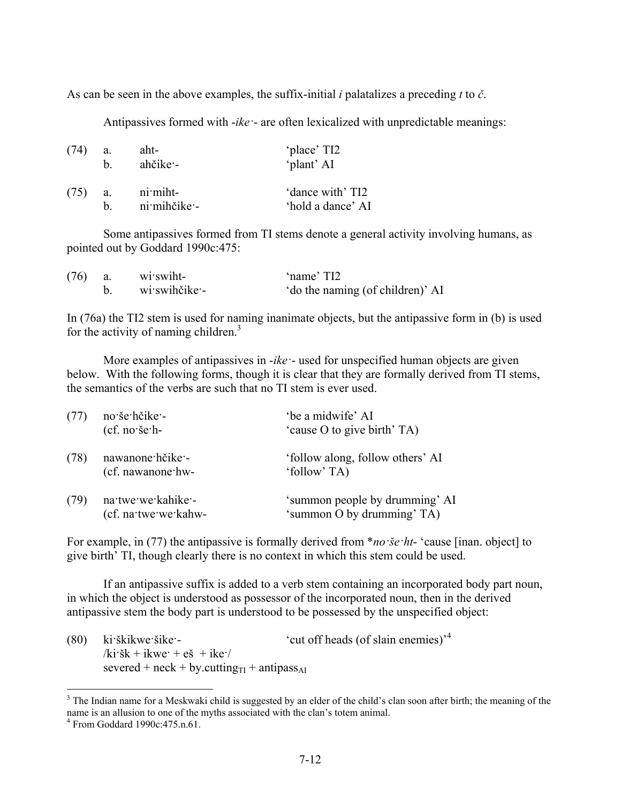As can be seen in the above examples, the suffix-initial *i* palatalizes a preceding *t* to *č*.

Antipassives formed with -*ike·*- are often lexicalized with unpredictable meanings:

| (74)      | a. | aht-                     | 'place' TI2                           |
|-----------|----|--------------------------|---------------------------------------|
|           | h. | ahčike –                 | 'plant' AI                            |
| $(75)$ a. | h. | ni miht-<br>ni mihčike - | 'dance with' TI2<br>'hold a dance' AI |

Some antipassives formed from TI stems denote a general activity involving humans, as pointed out by Goddard 1990c:475:

| $(76)$ a. | wi swiht-       | 'name' TI2                       |
|-----------|-----------------|----------------------------------|
|           | b. wiswihčike - | 'do the naming (of children)' AI |

In (76a) the TI2 stem is used for naming inanimate objects, but the antipassive form in (b) is used for the activity of naming children. $3$ 

More examples of antipassives in -*ike·*- used for unspecified human objects are given below. With the following forms, though it is clear that they are formally derived from TI stems, the semantics of the verbs are such that no TI stem is ever used.

| (77) | no še hčike -<br>$(cf. no'še'h-$           | 'be a midwife' AI<br>'cause O to give birth' TA)             |
|------|--------------------------------------------|--------------------------------------------------------------|
| (78) | nawanone hčike -<br>(cf. nawanone hw-      | 'follow along, follow others' AI<br>'follow' TA)             |
| (79) | na twe we kahike -<br>(cf. na twe we kahw- | 'summon people by drumming' AI<br>'summon O by drumming' TA) |

For example, in (77) the antipassive is formally derived from \**no·še·ht*- 'cause [inan. object] to give birth' TI, though clearly there is no context in which this stem could be used.

If an antipassive suffix is added to a verb stem containing an incorporated body part noun, in which the object is understood as possessor of the incorporated noun, then in the derived antipassive stem the body part is understood to be possessed by the unspecified object:

(80) ki·škikwe·šike·- 'cut off heads (of slain enemies)'<sup>4</sup>  $/ki\dot{s}k + ikwe + e\dot{s} + ike'$ severed + neck + by.cutting $_{\text{TI}}$  + antipass<sub>AI</sub>

1

<sup>&</sup>lt;sup>3</sup> The Indian name for a Meskwaki child is suggested by an elder of the child's clan soon after birth; the meaning of the name is an allusion to one of the myths associated with the clan's totem animal. 4

From Goddard 1990c:475.n.61.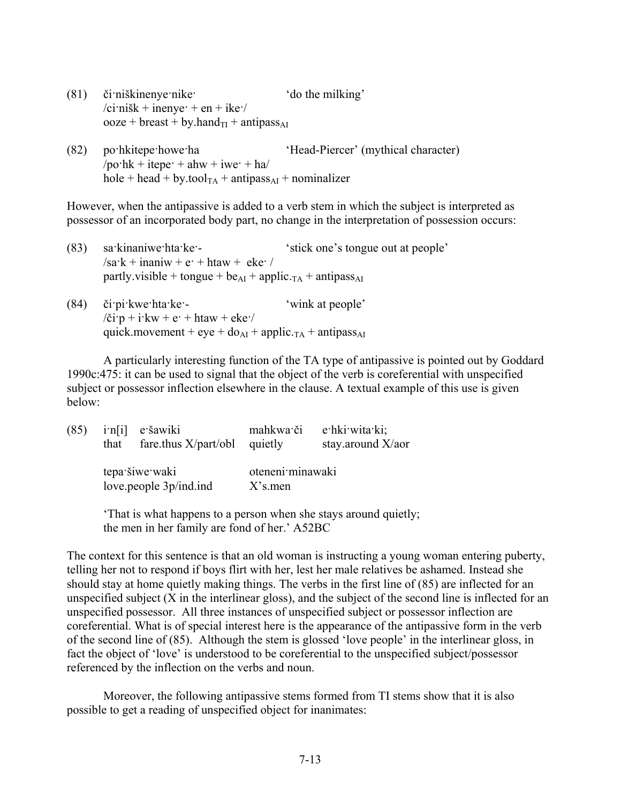| (81)                                                                                                                  | či niškinenye nike | 'do the milking' |
|-----------------------------------------------------------------------------------------------------------------------|--------------------|------------------|
| $\overline{\text{c} \text{r} \cdot \text{n} \cdot \text{s} \cdot \text{k}}$ + inenye + en + ike $\overline{\text{r}}$ |                    |                  |
| $\omega$ ooze + breast + by.hand <sub>TI</sub> + antipass <sub>AI</sub>                                               |                    |                  |

(82) po·hkitepe·howe·ha 'Head-Piercer' (mythical character)  $\gamma$ po·hk + itepe· + ahw + iwe· + ha  $hole + head + by.$ tool<sub>TA</sub> + antipass<sub>AI</sub> + nominalizer

However, when the antipassive is added to a verb stem in which the subject is interpreted as possessor of an incorporated body part, no change in the interpretation of possession occurs:

| (83) | sa kinaniwe hta ke -                                                                 | 'stick one's tongue out at people' |  |
|------|--------------------------------------------------------------------------------------|------------------------------------|--|
|      | $\sqrt{sa^2k + inan^2w} + e^2 + htaw + eke^2$                                        |                                    |  |
|      | partly visible + tongue + be <sub>AI</sub> + applic $_{TA}$ + antipass <sub>AI</sub> |                                    |  |
| (01) | ومعارمه والمعتبدا بأنسبك                                                             | فملموه مدعو بالمنتعب               |  |

(84) či·pi·kwe·hta·ke·- 'wink at people'  $\chi$ i·p + i·kw + e· + htaw + eke· quick.movement + eye +  $d\rho_{AI}$  + applic.<sub>TA</sub> + antipass<sub>AI</sub>

A particularly interesting function of the TA type of antipassive is pointed out by Goddard 1990c:475: it can be used to signal that the object of the verb is coreferential with unspecified subject or possessor inflection elsewhere in the clause. A textual example of this use is given below:

| (85) | that | in[i] e šawiki<br>fare.thus $X\$ {part/bbl} | mahkwa či<br>quietly           | e hki wita ki;<br>stay.around X/aor |
|------|------|---------------------------------------------|--------------------------------|-------------------------------------|
|      |      | tepa šiwe waki<br>love.people 3p/ind.ind    | oteneni minawaki<br>$X$ 's men |                                     |

'That is what happens to a person when she stays around quietly; the men in her family are fond of her.' A52BC

The context for this sentence is that an old woman is instructing a young woman entering puberty, telling her not to respond if boys flirt with her, lest her male relatives be ashamed. Instead she should stay at home quietly making things. The verbs in the first line of (85) are inflected for an unspecified subject (X in the interlinear gloss), and the subject of the second line is inflected for an unspecified possessor. All three instances of unspecified subject or possessor inflection are coreferential. What is of special interest here is the appearance of the antipassive form in the verb of the second line of (85). Although the stem is glossed 'love people' in the interlinear gloss, in fact the object of 'love' is understood to be coreferential to the unspecified subject/possessor referenced by the inflection on the verbs and noun.

Moreover, the following antipassive stems formed from TI stems show that it is also possible to get a reading of unspecified object for inanimates: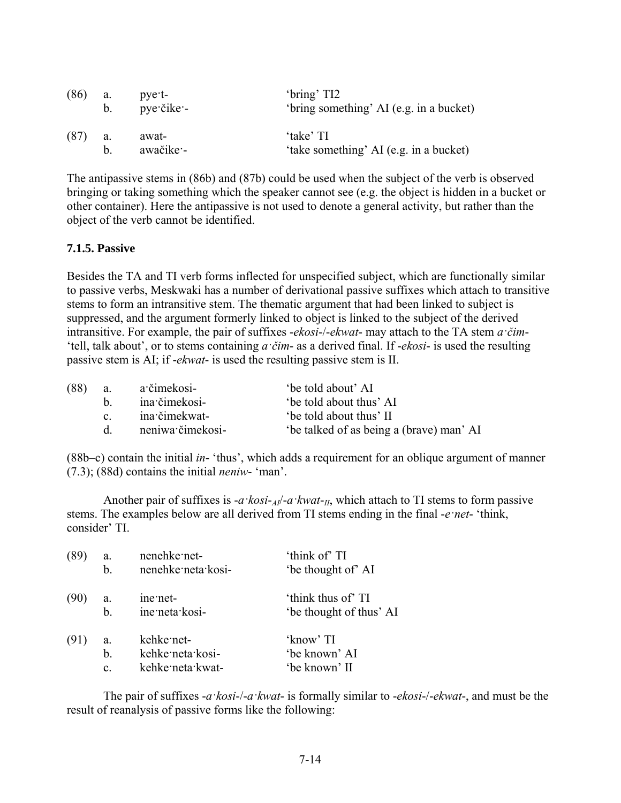| (86) | a.          | pye t-     | 'bring' TI2                             |
|------|-------------|------------|-----------------------------------------|
|      | $b_{\perp}$ | pye čike - | 'bring something' AI (e.g. in a bucket) |
| (87) | a.          | awat-      | 'take' TI                               |
|      | h           | awačike -  | 'take something' AI (e.g. in a bucket)  |

The antipassive stems in (86b) and (87b) could be used when the subject of the verb is observed bringing or taking something which the speaker cannot see (e.g. the object is hidden in a bucket or other container). Here the antipassive is not used to denote a general activity, but rather than the object of the verb cannot be identified.

## **7.1.5. Passive**

Besides the TA and TI verb forms inflected for unspecified subject, which are functionally similar to passive verbs, Meskwaki has a number of derivational passive suffixes which attach to transitive stems to form an intransitive stem. The thematic argument that had been linked to subject is suppressed, and the argument formerly linked to object is linked to the subject of the derived intransitive. For example, the pair of suffixes -*ekosi*-/-*ekwat*- may attach to the TA stem *a·čim*- 'tell, talk about', or to stems containing *a·čim*- as a derived final. If -*ekosi*- is used the resulting passive stem is AI; if -*ekwat*- is used the resulting passive stem is II.

| (88) | <b>a</b> .   | a čimekosi-      | 'be told about' AI                      |
|------|--------------|------------------|-----------------------------------------|
|      | h —          | ina čimekosi-    | be told about thus' AI                  |
|      | $\mathbf{c}$ | ina čimekwat-    | be told about thus' II                  |
|      | d            | neniwa čimekosi- | be talked of as being a (brave) man' AI |
|      |              |                  |                                         |

(88b–c) contain the initial *in*- 'thus', which adds a requirement for an oblique argument of manner (7.3); (88d) contains the initial *neniw*- 'man'.

Another pair of suffixes is -*a·kosi*-*AI*/-*a·kwat*-*II*, which attach to TI stems to form passive stems. The examples below are all derived from TI stems ending in the final -*e·net*- 'think, consider' TI.

| (89  | a.             | nenehke net-       | 'think of' TI           |
|------|----------------|--------------------|-------------------------|
|      | b.             | nenehke neta kosi- | 'be thought of' AI      |
| (90) | a.             | ine net-           | 'think thus of' TI      |
|      | b.             | ine neta kosi-     | 'be thought of thus' AI |
| (91) | a.             | kehke net-         | 'know' TI               |
|      | b.             | kehke neta kosi-   | 'be known' AI           |
|      | $\mathbf{c}$ . | kehke neta kwat-   | 'be known' II           |

The pair of suffixes -*a·kosi*-/-*a·kwat*- is formally similar to -*ekosi*-/-*ekwat*-, and must be the result of reanalysis of passive forms like the following: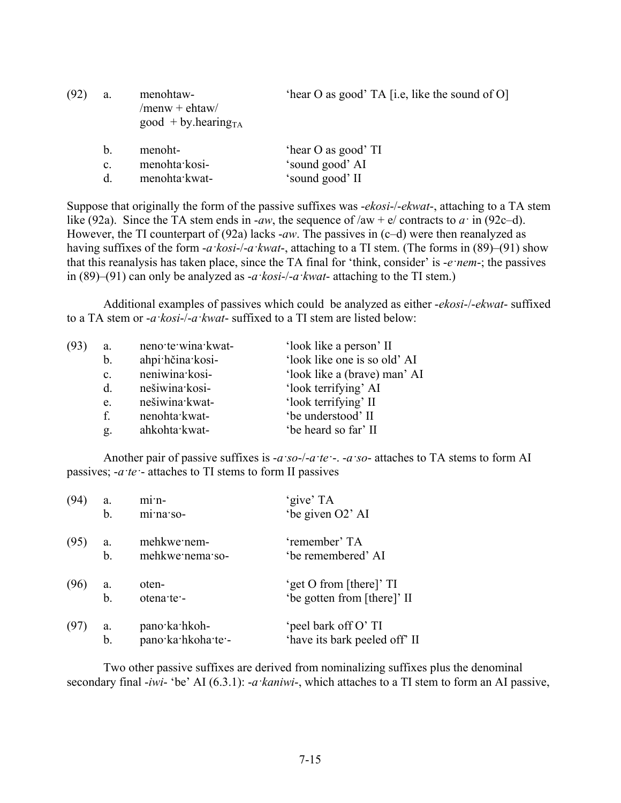| (92) | a.             | menohtaw-<br>$/$ menw + ehtaw $/$<br>$good + by. hearingTA$ | 'hear O as good' TA [i.e, like the sound of O] |
|------|----------------|-------------------------------------------------------------|------------------------------------------------|
|      | b.             | menoht-                                                     | 'hear O as good' TI                            |
|      | $\mathbf{c}$ . | menohta kosi-                                               | 'sound good' AI                                |
|      | d              | menohta kwat-                                               | 'sound good' II                                |

Suppose that originally the form of the passive suffixes was -*ekosi*-/-*ekwat*-, attaching to a TA stem like (92a). Since the TA stem ends in -*aw*, the sequence of  $/aw + e/$  contracts to  $a \cdot$  in (92c–d). However, the TI counterpart of (92a) lacks -*aw*. The passives in (c–d) were then reanalyzed as having suffixes of the form -*a·kosi*-/-*a·kwat*-, attaching to a TI stem. (The forms in (89)–(91) show that this reanalysis has taken place, since the TA final for 'think, consider' is -*e·nem*-; the passives in (89)–(91) can only be analyzed as -*a·kosi*-/-*a·kwat*- attaching to the TI stem.)

Additional examples of passives which could be analyzed as either -*ekosi*-/-*ekwat*- suffixed to a TA stem or -*a·kosi*-/-*a·kwat*- suffixed to a TI stem are listed below:

| ahpi hčina kosi-<br>b.<br>neniwina kosi-<br>$\mathbf{c}$ .<br>'look terrifying' AI<br>nešiwina kosi-<br>d.<br>nešiwina kwat-<br>'look terrifying' II<br>e.<br>'be understood' II<br>f.<br>nenohta kwat-<br>'be heard so far' II<br>ahkohta kwat-<br>g. | (93 | a. | neno te wina kwat- | 'look like a person' II      |
|--------------------------------------------------------------------------------------------------------------------------------------------------------------------------------------------------------------------------------------------------------|-----|----|--------------------|------------------------------|
|                                                                                                                                                                                                                                                        |     |    |                    | 'look like one is so old' AI |
|                                                                                                                                                                                                                                                        |     |    |                    | 'look like a (brave) man' AI |
|                                                                                                                                                                                                                                                        |     |    |                    |                              |
|                                                                                                                                                                                                                                                        |     |    |                    |                              |
|                                                                                                                                                                                                                                                        |     |    |                    |                              |
|                                                                                                                                                                                                                                                        |     |    |                    |                              |

Another pair of passive suffixes is -*a·so*-/-*a·te·*-. -*a·so*- attaches to TA stems to form AI passives; -*a·te·*- attaches to TI stems to form II passives

| (94) | a. | $m1$ <sup>-<math>n-</math></sup> | 'give' TA                     |
|------|----|----------------------------------|-------------------------------|
|      | b. | minas                            | 'be given O2' AI              |
| (95) | a. | mehkwe nem-                      | 'remember' TA                 |
|      | b. | mehkwe nema so-                  | 'be remembered' AI            |
| (96) | a. | oten-                            | 'get O from [there]' TI       |
|      | b. | otena te -                       | 'be gotten from [there]' II   |
| (97) | a. | pano·ka·hkoh-                    | 'peel bark off O' TI          |
|      | b. | pano·ka·hkoha·te·-               | 'have its bark peeled off' II |

Two other passive suffixes are derived from nominalizing suffixes plus the denominal secondary final -*iwi*- 'be' AI (6.3.1): -*a·kaniwi*-, which attaches to a TI stem to form an AI passive,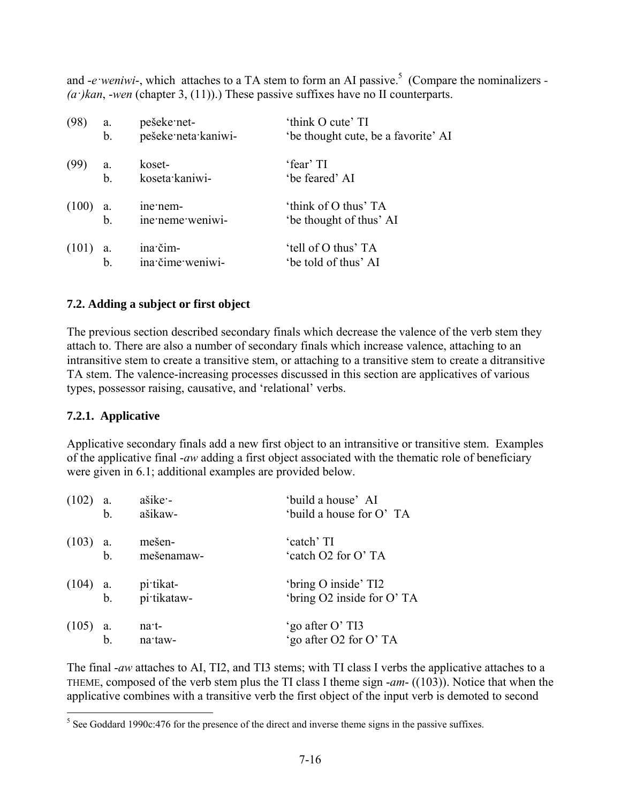and *-e weniwi*-, which attaches to a TA stem to form an AI passive.<sup>5</sup> (Compare the nominalizers - $(a<sup>i</sup>)$ *kan*, -*wen* (chapter 3, (11)).) These passive suffixes have no II counterparts.

| (98)  | a. | pešeke net-                  | 'think O cute' TI                               |
|-------|----|------------------------------|-------------------------------------------------|
|       | b. | pešeke neta kaniwi-          | 'be thought cute, be a favorite' AI             |
| (99)  | a. | koset-                       | 'fear' TI                                       |
|       | b. | koseta kaniwi-               | 'be feared' AI                                  |
| (100) | a. | ine nem-<br>ine neme weniwi- | 'think of O thus' TA<br>'be thought of thus' AI |
| (101) | a. | ina čim-                     | 'tell of O thus' TA                             |
|       | b  | ina čime weniwi-             | 'be told of thus' AI                            |

## **7.2. Adding a subject or first object**

The previous section described secondary finals which decrease the valence of the verb stem they attach to. There are also a number of secondary finals which increase valence, attaching to an intransitive stem to create a transitive stem, or attaching to a transitive stem to create a ditransitive TA stem. The valence-increasing processes discussed in this section are applicatives of various types, possessor raising, causative, and 'relational' verbs.

#### **7.2.1. Applicative**

Applicative secondary finals add a new first object to an intransitive or transitive stem. Examples of the applicative final -*aw* adding a first object associated with the thematic role of beneficiary were given in 6.1; additional examples are provided below.

| $(102)$ a.       | b.          | ašike -<br>ašikaw-       | 'build a house' AI<br>'build a house for O' TA    |
|------------------|-------------|--------------------------|---------------------------------------------------|
| $(103)$ a.<br>b. |             | mešen-<br>mešenamaw-     | 'catch' TI<br>'catch O2 for O'TA                  |
|                  | (104) a. b. | pi tikat-<br>pi tikataw- | 'bring O inside' TI2<br>'bring O2 inside for O'TA |
| $(105)$ a.<br>b. |             | $na+$<br>na taw-         | 'go after O' TI3<br>'go after O2 for O' TA        |

The final -*aw* attaches to AI, TI2, and TI3 stems; with TI class I verbs the applicative attaches to a THEME, composed of the verb stem plus the TI class I theme sign -*am*- ((103)). Notice that when the applicative combines with a transitive verb the first object of the input verb is demoted to second

<sup>&</sup>lt;sup>5</sup> See Goddard 1990c:476 for the presence of the direct and inverse theme signs in the passive suffixes.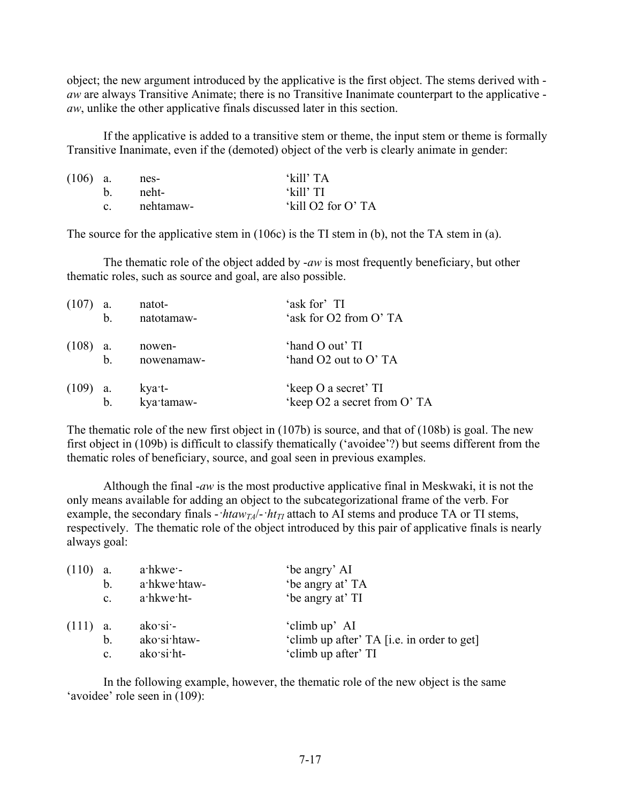object; the new argument introduced by the applicative is the first object. The stems derived with *aw* are always Transitive Animate; there is no Transitive Inanimate counterpart to the applicative *aw*, unlike the other applicative finals discussed later in this section.

If the applicative is added to a transitive stem or theme, the input stem or theme is formally Transitive Inanimate, even if the (demoted) object of the verb is clearly animate in gender:

| $(106)$ a. | nes-      | 'kill' TA         |
|------------|-----------|-------------------|
|            | b neht-   | 'kill' TI         |
|            | nehtamaw- | 'kill O2 for O'TA |

The source for the applicative stem in (106c) is the TI stem in (b), not the TA stem in (a).

The thematic role of the object added by -*aw* is most frequently beneficiary, but other thematic roles, such as source and goal, are also possible.

| (107)      | a.<br>b.      | natot-<br>natotamaw- | 'ask for' TI<br>'ask for O2 from O'TA               |
|------------|---------------|----------------------|-----------------------------------------------------|
| $(108)$ a. | b.            | nowen-<br>nowenamaw- | 'hand O out' TI<br>'hand O2 out to O' TA            |
| $(109)$ a. | $\mathbf b$ . | kya·t-<br>kya·tamaw- | 'keep O a secret' TI<br>'keep O2 a secret from O'TA |

The thematic role of the new first object in (107b) is source, and that of (108b) is goal. The new first object in (109b) is difficult to classify thematically ('avoidee'?) but seems different from the thematic roles of beneficiary, source, and goal seen in previous examples.

Although the final -*aw* is the most productive applicative final in Meskwaki, it is not the only means available for adding an object to the subcategorizational frame of the verb. For example, the secondary finals  $-$ *·htaw<sub>TA</sub>* $/$ -*·ht<sub>TI</sub>* attach to AI stems and produce TA or TI stems, respectively. The thematic role of the object introduced by this pair of applicative finals is nearly always goal:

| (110)      | а.             | $a$ hkwe $-$ | 'be angry' AI                              |
|------------|----------------|--------------|--------------------------------------------|
|            | $\mathbf b$ .  | a hkwe htaw- | 'be angry at' TA                           |
|            | $\mathbf{c}$ . | a hkwe ht-   | 'be angry at' TI                           |
| $(111)$ a. |                | ako'si       | 'climb up' AI                              |
|            | $b_{\cdot}$    | ako si htaw- | 'climb up after' TA [i.e. in order to get] |
|            | $\mathbf{c}$ . | $ako'si'ht-$ | 'climb up after' TI                        |

In the following example, however, the thematic role of the new object is the same 'avoidee' role seen in (109):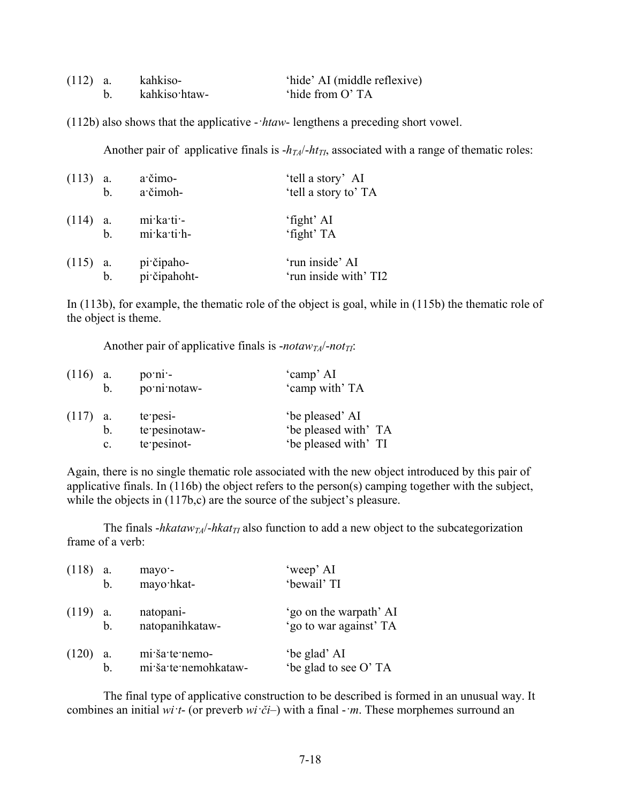| $(112)$ a. | kahkiso-      | 'hide' AI (middle reflexive) |
|------------|---------------|------------------------------|
|            | kahkiso htaw- | 'hide from O'TA              |

(112b) also shows that the applicative -*·htaw*- lengthens a preceding short vowel.

Another pair of applicative finals is  $-h_{TA}/-ht_{TI}$ , associated with a range of thematic roles:

| $(113)$ a. | $\mathbf b$ . | a·čimo-<br>a čimoh-        | 'tell a story' AI<br>'tell a story to' TA |
|------------|---------------|----------------------------|-------------------------------------------|
| $(114)$ a. | $b$           | mi ka ti -<br>mi ka ti h-  | 'fight' AI<br>'fight' TA                  |
| $(115)$ a. | $\mathbf b$ . | pi čipaho-<br>pi čipahoht- | 'run inside' AI<br>'run inside with' TI2  |

In (113b), for example, the thematic role of the object is goal, while in (115b) the thematic role of the object is theme.

Another pair of applicative finals is *-notaw<sub>TA</sub>*/-*not*<sub>*TI*</sub>:

| $(116)$ a. |    | $po\cdot ni$ . | 'camp' AI            |
|------------|----|----------------|----------------------|
|            | b. | po ni notaw-   | 'camp with' TA       |
| $(117)$ a. |    | $te$ pesi-     | 'be pleased' AI      |
|            | b. | te pesinotaw-  | 'be pleased with' TA |
|            | C. | te pesinot-    | 'be pleased with' TI |

Again, there is no single thematic role associated with the new object introduced by this pair of applicative finals. In (116b) the object refers to the person(s) camping together with the subject, while the objects in  $(117b,c)$  are the source of the subject's pleasure.

The finals  $-hkataw_{TA}/-hkat_{TI}$  also function to add a new object to the subcategorization frame of a verb:

| $(118)$ a. |             | mayo -               | 'weep' AI              |
|------------|-------------|----------------------|------------------------|
|            | $b$ .       | mayo·hkat-           | 'bewail' TI            |
| $(119)$ a. |             | natopani-            | 'go on the warpath' AI |
|            | $b$         | natopanihkataw-      | 'go to war against' TA |
| (120)      | a.          | mi ša te nemo-       | 'be glad' AI           |
|            | $\mathbf b$ | mi ša te nemohkataw- | 'be glad to see O' TA  |

The final type of applicative construction to be described is formed in an unusual way. It combines an initial *wi·t*- (or preverb *wi·či*–) with a final -*·m*. These morphemes surround an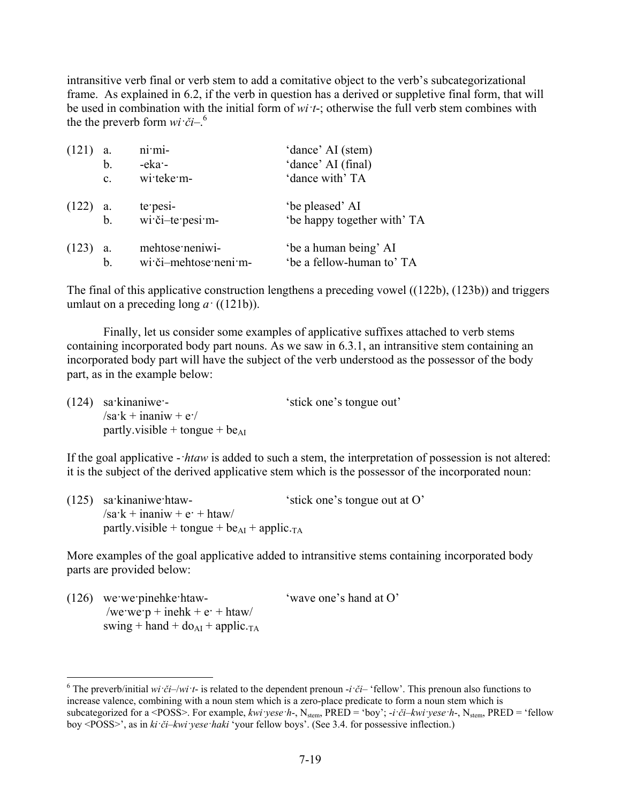intransitive verb final or verb stem to add a comitative object to the verb's subcategorizational frame. As explained in 6.2, if the verb in question has a derived or suppletive final form, that will be used in combination with the initial form of *wi·t*-; otherwise the full verb stem combines with the the preverb form  $wi \cdot \check{c}i$ <sup>-6</sup>.

| (121)      | a.             | ni·mi-                | 'dance' AI (stem)           |
|------------|----------------|-----------------------|-----------------------------|
|            | b.             | $-eka$                | 'dance' AI (final)          |
|            | $\mathbf{c}$ . | wi teke m-            | 'dance with' TA             |
| $(122)$ a. |                | te pesi-              | 'be pleased' AI             |
|            | $\mathbf b$ .  | wi či-te pesi m-      | 'be happy together with' TA |
| (123)      | a.             | mehtose neniwi-       | 'be a human being' AI       |
|            | b              | wi·či-mehtose·neni·m- | 'be a fellow-human to' TA   |

The final of this applicative construction lengthens a preceding vowel ((122b), (123b)) and triggers umlaut on a preceding long  $a$ <sup> $\cdot$ </sup> ((121b)).

Finally, let us consider some examples of applicative suffixes attached to verb stems containing incorporated body part nouns. As we saw in 6.3.1, an intransitive stem containing an incorporated body part will have the subject of the verb understood as the possessor of the body part, as in the example below:

| $(124)$ sa kinaniwe -               | 'stick one's tongue out' |
|-------------------------------------|--------------------------|
| $\sqrt{sa^2k + inan^2k} + e^2$      |                          |
| partly visible + tongue + $be_{AI}$ |                          |

If the goal applicative -*·htaw* is added to such a stem, the interpretation of possession is not altered: it is the subject of the derived applicative stem which is the possessor of the incorporated noun:

| $(125)$ sa kinaniwe htaw-                                   | 'stick one's tongue out at O' |
|-------------------------------------------------------------|-------------------------------|
| $\sin k + i$ inaniw + e + htaw                              |                               |
| partly visible + tongue + $be_{AI}$ + applic. <sub>TA</sub> |                               |

More examples of the goal applicative added to intransitive stems containing incorporated body parts are provided below:

| $(126)$ we we pinehke htaw-                      | 'wave one's hand at O' |
|--------------------------------------------------|------------------------|
| /we we p + inehk + e · + htaw/                   |                        |
| swing + hand + $do_{AI}$ + applic. <sub>TA</sub> |                        |

<u>.</u>

<sup>&</sup>lt;sup>6</sup> The preverb/initial *wi* ·*či*–/*wi* ·*t*- is related to the dependent prenoun -*i* ·*či*– 'fellow'. This prenoun also functions to increase valence, combining with a noun stem which is a zero-place predicate to form a noun stem which is subcategorized for a <POSS>. For example, *kwiyese*  $h$ -, N<sub>stem</sub>, PRED = 'boy'; -*i·či*-*kwi·yese*  $h$ -, N<sub>stem</sub>, PRED = 'fellow boy <POSS>', as in *ki·či*–*kwi·yese·haki* 'your fellow boys'. (See 3.4. for possessive inflection.)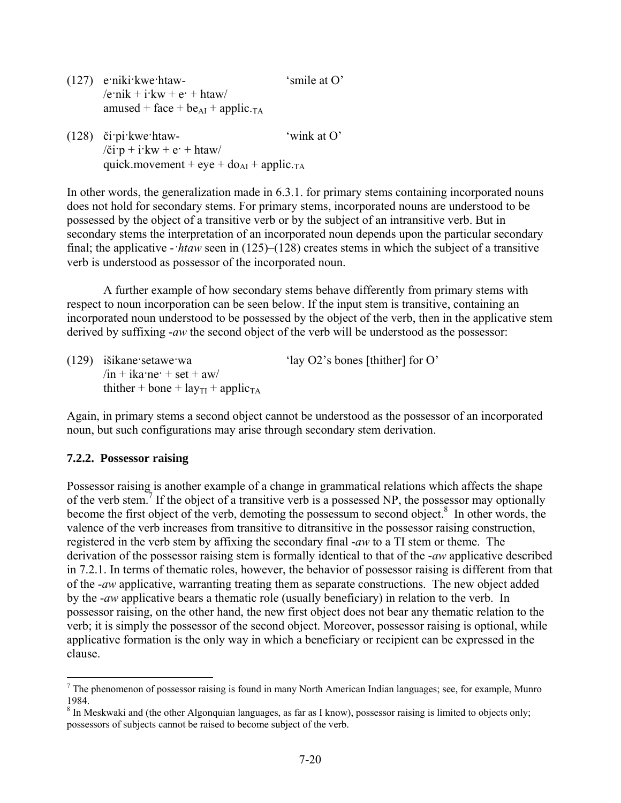(127) e·niki·kwe·htaw- 'smile at O'  $/$ e·nik + i·kw + e· + htaw amused + face +  $be_{AI}$  + applic.<sub>TA</sub>

(128) či·pi·kwe·htaw- 'wink at O'  $\chi$ i·p + i·kw + e· + htaw quick.movement + eye +  $do<sub>AI</sub>$  + applic.<sub>TA</sub>

In other words, the generalization made in 6.3.1. for primary stems containing incorporated nouns does not hold for secondary stems. For primary stems, incorporated nouns are understood to be possessed by the object of a transitive verb or by the subject of an intransitive verb. But in secondary stems the interpretation of an incorporated noun depends upon the particular secondary final; the applicative -*·htaw* seen in (125)–(128) creates stems in which the subject of a transitive verb is understood as possessor of the incorporated noun.

A further example of how secondary stems behave differently from primary stems with respect to noun incorporation can be seen below. If the input stem is transitive, containing an incorporated noun understood to be possessed by the object of the verb, then in the applicative stem derived by suffixing -*aw* the second object of the verb will be understood as the possessor:

| $(129)$ išikane setawe wa                                        | 'lay O2's bones [thither] for $O'$ |
|------------------------------------------------------------------|------------------------------------|
| $\sin + i$ ka ne $\cos + s$ et + aw                              |                                    |
| thither + bone + $\text{lay}_{\text{TI}}$ + applic <sub>TA</sub> |                                    |

Again, in primary stems a second object cannot be understood as the possessor of an incorporated noun, but such configurations may arise through secondary stem derivation.

## **7.2.2. Possessor raising**

<u>.</u>

Possessor raising is another example of a change in grammatical relations which affects the shape of the verb stem.<sup>7</sup> If the object of a transitive verb is a possessed NP, the possessor may optionally become the first object of the verb, demoting the possessum to second object.<sup>8</sup> In other words, the valence of the verb increases from transitive to ditransitive in the possessor raising construction, registered in the verb stem by affixing the secondary final -*aw* to a TI stem or theme. The derivation of the possessor raising stem is formally identical to that of the -*aw* applicative described in 7.2.1. In terms of thematic roles, however, the behavior of possessor raising is different from that of the -*aw* applicative, warranting treating them as separate constructions. The new object added by the -*aw* applicative bears a thematic role (usually beneficiary) in relation to the verb. In possessor raising, on the other hand, the new first object does not bear any thematic relation to the verb; it is simply the possessor of the second object. Moreover, possessor raising is optional, while applicative formation is the only way in which a beneficiary or recipient can be expressed in the clause.

 $<sup>7</sup>$  The phenomenon of possessor raising is found in many North American Indian languages; see, for example, Munro</sup> 1984.

<sup>&</sup>lt;sup>8</sup> In Meskwaki and (the other Algonquian languages, as far as I know), possessor raising is limited to objects only; possessors of subjects cannot be raised to become subject of the verb.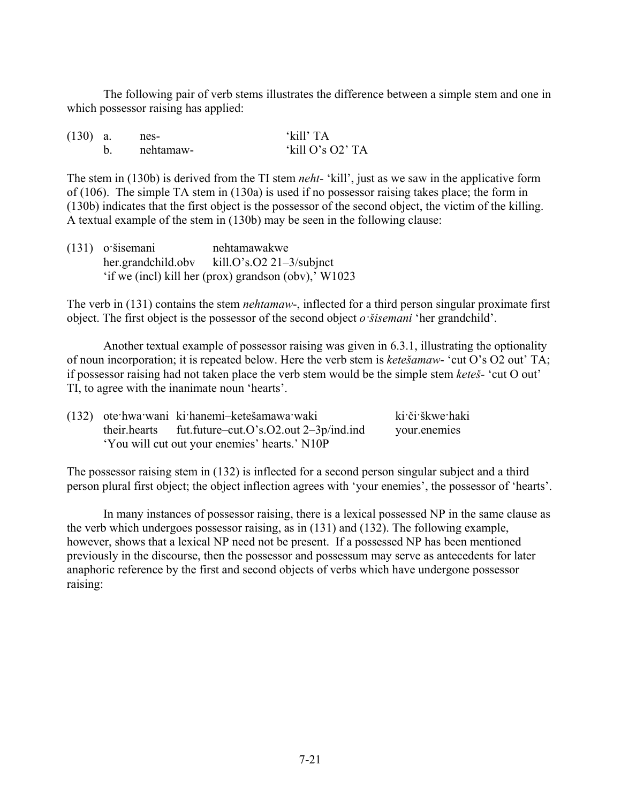The following pair of verb stems illustrates the difference between a simple stem and one in which possessor raising has applied:

| $(130)$ a. | nes-        | 'kill' TA        |
|------------|-------------|------------------|
|            | . nehtamaw- | 'kill O's O2' TA |

The stem in (130b) is derived from the TI stem *neht*- 'kill', just as we saw in the applicative form of (106). The simple TA stem in (130a) is used if no possessor raising takes place; the form in (130b) indicates that the first object is the possessor of the second object, the victim of the killing. A textual example of the stem in (130b) may be seen in the following clause:

| $(131)$ o'šisemani | nehtamawakwe                                         |
|--------------------|------------------------------------------------------|
| her.grandchild.obv | kill.O's.O2 21-3/subjnct                             |
|                    | 'if we (incl) kill her (prox) grandson (obv),' W1023 |

The verb in (131) contains the stem *nehtamaw*-, inflected for a third person singular proximate first object. The first object is the possessor of the second object *o·šisemani* 'her grandchild'.

Another textual example of possessor raising was given in 6.3.1, illustrating the optionality of noun incorporation; it is repeated below. Here the verb stem is *ketešamaw*- 'cut O's O2 out' TA; if possessor raising had not taken place the verb stem would be the simple stem *keteš*- 'cut O out' TI, to agree with the inanimate noun 'hearts'.

|                                               | (132) ote hwa wani ki hanemi-ketešamawa waki           | ki či škwe haki |
|-----------------------------------------------|--------------------------------------------------------|-----------------|
|                                               | their.hearts fut.future-cut.O's.O2.out $2-3p/ind$ .ind | your.enemies    |
| 'You will cut out your enemies' hearts.' N10P |                                                        |                 |

The possessor raising stem in (132) is inflected for a second person singular subject and a third person plural first object; the object inflection agrees with 'your enemies', the possessor of 'hearts'.

In many instances of possessor raising, there is a lexical possessed NP in the same clause as the verb which undergoes possessor raising, as in (131) and (132). The following example, however, shows that a lexical NP need not be present. If a possessed NP has been mentioned previously in the discourse, then the possessor and possessum may serve as antecedents for later anaphoric reference by the first and second objects of verbs which have undergone possessor raising: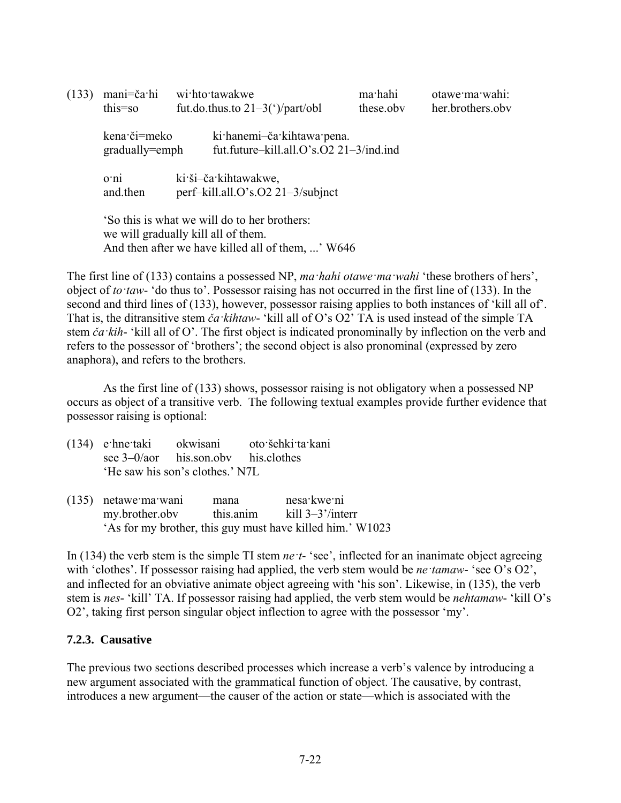| (133) | mani=ča·hi<br>this=so                                                                                                                    |  | wi:hto:tawakwe<br>fut.do.thus.to $21-3$ ( $\gamma$ )/part/obl            | ma·hahi<br>these.obv | otawe ma wahi:<br>her.brothers.obv |
|-------|------------------------------------------------------------------------------------------------------------------------------------------|--|--------------------------------------------------------------------------|----------------------|------------------------------------|
|       | kena či=meko<br>gradually=emph                                                                                                           |  | ki hanemi-ča kihtawa pena.<br>fut.future-kill.all.O's.O2 $21-3/ind$ .ind |                      |                                    |
|       | 0 <sup>th</sup><br>and.then                                                                                                              |  | ki ši-ča kihtawakwe,<br>perf-kill.all.O's.O2 $21-3$ /subjnct             |                      |                                    |
|       | 'So this is what we will do to her brothers:<br>we will gradually kill all of them.<br>And then after we have killed all of them, ' W646 |  |                                                                          |                      |                                    |

The first line of (133) contains a possessed NP, *ma·hahi otawe·ma·wahi* 'these brothers of hers', object of *to·taw*- 'do thus to'. Possessor raising has not occurred in the first line of (133). In the second and third lines of (133), however, possessor raising applies to both instances of 'kill all of'. That is, the ditransitive stem *ča·kihtaw*- 'kill all of O's O2' TA is used instead of the simple TA stem *ča·kih*- 'kill all of O'. The first object is indicated pronominally by inflection on the verb and refers to the possessor of 'brothers'; the second object is also pronominal (expressed by zero anaphora), and refers to the brothers.

As the first line of (133) shows, possessor raising is not obligatory when a possessed NP occurs as object of a transitive verb. The following textual examples provide further evidence that possessor raising is optional:

|  |                                     | (134) e hne taki okwisani oto šehki ta kani |
|--|-------------------------------------|---------------------------------------------|
|  | see $3-0/a$ his son obv his clothes |                                             |
|  | 'He saw his son's clothes.' N7L     |                                             |

(135) netawe·ma·wani mana nesa·kwe·ni my.brother.obv this.anim kill 3–3'/interr 'As for my brother, this guy must have killed him.' W1023

In (134) the verb stem is the simple TI stem *ne t*- 'see', inflected for an inanimate object agreeing with 'clothes'. If possessor raising had applied, the verb stem would be *ne tamaw*- 'see O's O2', and inflected for an obviative animate object agreeing with 'his son'. Likewise, in (135), the verb stem is *nes*- 'kill' TA. If possessor raising had applied, the verb stem would be *nehtamaw*- 'kill O's O2', taking first person singular object inflection to agree with the possessor 'my'.

#### **7.2.3. Causative**

The previous two sections described processes which increase a verb's valence by introducing a new argument associated with the grammatical function of object. The causative, by contrast, introduces a new argument—the causer of the action or state—which is associated with the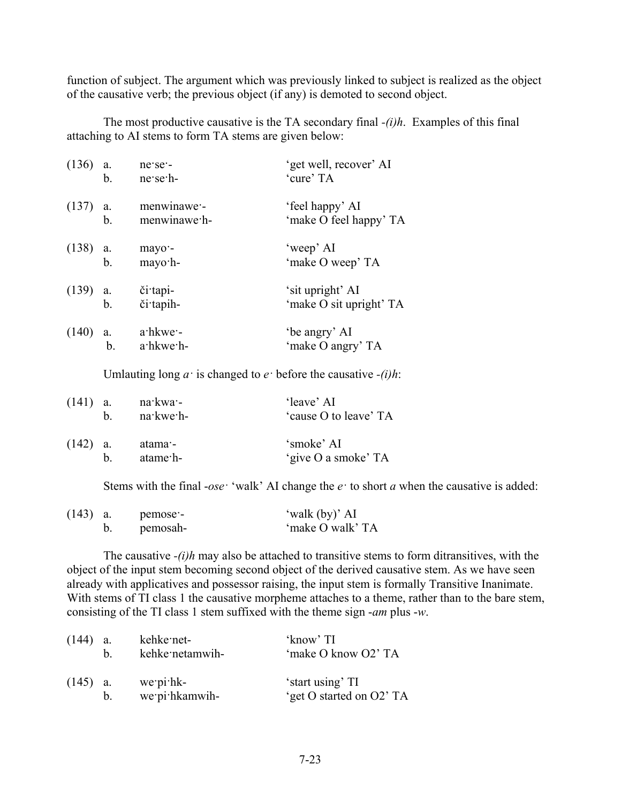function of subject. The argument which was previously linked to subject is realized as the object of the causative verb; the previous object (if any) is demoted to second object.

The most productive causative is the TA secondary final *-(i)h*. Examples of this final attaching to AI stems to form TA stems are given below:

| $(136)$ a. | b.            | ne se -<br>$ne$ se $h$ -    | 'get well, recover' AI<br>'cure' TA         |
|------------|---------------|-----------------------------|---------------------------------------------|
| $(137)$ a. | $\mathbf b$ . | menwinawe -<br>menwinawe h- | 'feel happy' AI<br>'make O feel happy' TA   |
| $(138)$ a. | b.            | mayo -<br>mayo h-           | 'weep' AI<br>'make O weep' TA               |
| $(139)$ a. | b.            | či tapi-<br>či tapih-       | 'sit upright' AI<br>'make O sit upright' TA |
| (140)      | a.<br>b.      | $a$ hkwe $-$<br>a hkwe h-   | 'be angry' AI<br>'make O angry' TA          |

Umlauting long  $a$ <sup>*·*</sup> is changed to  $e$ <sup>*·*</sup> before the causative *-(i)h*:

| $(141)$ a. | h  | na kwa -<br>$n$ a kwe $h$ - | 'leave' AI<br>'cause O to leave' TA |
|------------|----|-----------------------------|-------------------------------------|
| $(142)$ a. | h. | atama -<br>atame h-         | 'smoke' AI<br>'give O a smoke' TA   |

Stems with the final -*ose·* 'walk' AI change the *e·* to short *a* when the causative is added:

| $(143)$ a. | pemose - | 'walk (by)' AI   |
|------------|----------|------------------|
|            | pemosah- | 'make O walk' TA |

The causative *-(i)h* may also be attached to transitive stems to form ditransitives, with the object of the input stem becoming second object of the derived causative stem. As we have seen already with applicatives and possessor raising, the input stem is formally Transitive Inanimate. With stems of TI class 1 the causative morpheme attaches to a theme, rather than to the bare stem, consisting of the TI class 1 stem suffixed with the theme sign -*am* plus -*w*.

| $(144)$ a. | h. | kehke net-<br>kehke netamwih- | 'know' TI<br>'make O know O2' TA             |
|------------|----|-------------------------------|----------------------------------------------|
| $(145)$ a. | b. | we pi hk-<br>we pi hkamwih-   | 'start using' TI<br>'get O started on O2' TA |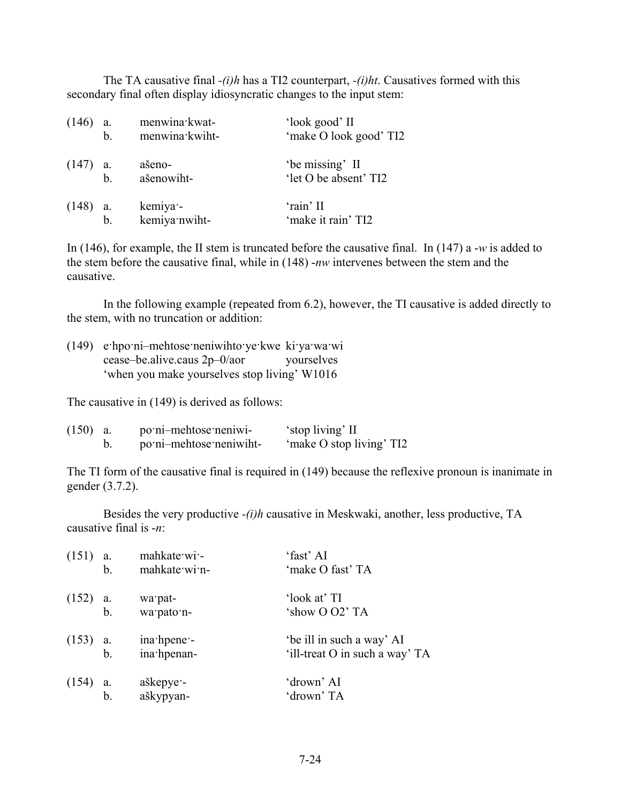The TA causative final *-(i)h* has a TI2 counterpart, *-(i)ht*. Causatives formed with this secondary final often display idiosyncratic changes to the input stem:

| (146)      | a.<br>b. | menwina kwat-<br>menwina kwiht- | 'look good' II<br>'make O look good' TI2 |
|------------|----------|---------------------------------|------------------------------------------|
| $(147)$ a. | $b$      | ašeno-<br>ašenowiht-            | 'be missing' II<br>'let O be absent' TI2 |
| $(148)$ a. | b.       | kemiya -<br>kemiya nwiht-       | 'rain' II<br>'make it rain' TI2          |

In (146), for example, the II stem is truncated before the causative final. In (147) a -*w* is added to the stem before the causative final, while in (148) -*nw* intervenes between the stem and the causative.

In the following example (repeated from 6.2), however, the TI causative is added directly to the stem, with no truncation or addition:

| $(149)$ e hpo ni-mehtose neniwihto ye kwe ki ya wa wi |            |
|-------------------------------------------------------|------------|
| cease-be.alive.caus $2p-0/a$                          | yourselves |
| 'when you make yourselves stop living' W1016          |            |

The causative in (149) is derived as follows:

| $(150)$ a. | po:ni-mehtose:neniwi-   | 'stop living' II         |
|------------|-------------------------|--------------------------|
|            | po:ni-mehtose:neniwiht- | 'make O stop living' TI2 |

The TI form of the causative final is required in (149) because the reflexive pronoun is inanimate in gender (3.7.2).

Besides the very productive *-(i)h* causative in Meskwaki, another, less productive, TA causative final is -*n*:

| $(151)$ a.       | $b_{-}$ | mahkate wi-<br>mahkate win- | 'fast' AI<br>'make O fast' TA                               |
|------------------|---------|-----------------------------|-------------------------------------------------------------|
| $(152)$ a.<br>b. |         | wa pat-<br>wa pato n-       | 'look at' TI<br>'show O O2' TA                              |
| $(153)$ a.<br>b. |         | ina hpene -<br>ina hpenan-  | 'be ill in such a way' AI<br>'ill-treat O in such a way' TA |
| $(154)$ a.       | $b$     | aškepye -<br>aškypyan-      | 'drown' AI<br>'drown' TA                                    |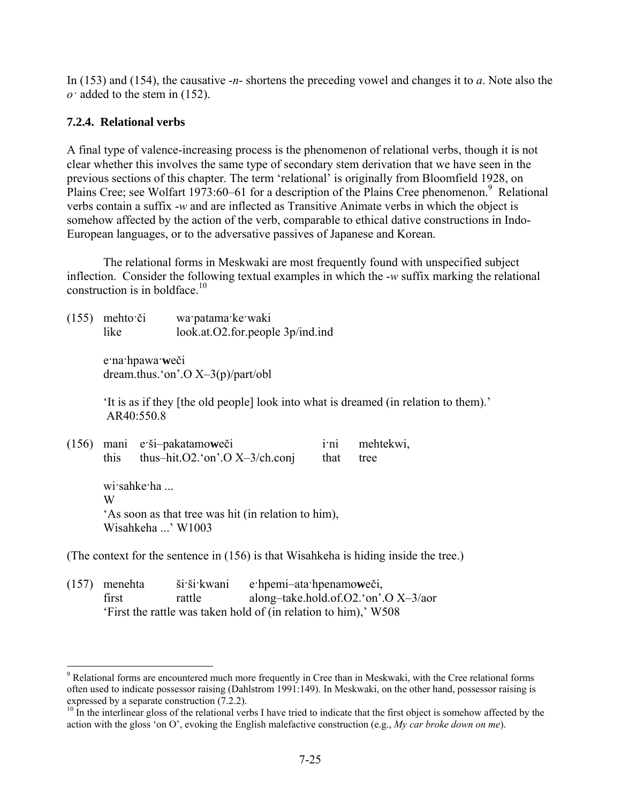In (153) and (154), the causative -*n*- shortens the preceding vowel and changes it to *a*. Note also the *o·* added to the stem in (152).

## **7.2.4. Relational verbs**

1

A final type of valence-increasing process is the phenomenon of relational verbs, though it is not clear whether this involves the same type of secondary stem derivation that we have seen in the previous sections of this chapter. The term 'relational' is originally from Bloomfield 1928, on Plains Cree; see Wolfart 1973:60–61 for a description of the Plains Cree phenomenon.<sup>9</sup> Relational verbs contain a suffix -*w* and are inflected as Transitive Animate verbs in which the object is somehow affected by the action of the verb, comparable to ethical dative constructions in Indo-European languages, or to the adversative passives of Japanese and Korean.

The relational forms in Meskwaki are most frequently found with unspecified subject inflection. Consider the following textual examples in which the -*w* suffix marking the relational construction is in boldface. $10$ 

(155) mehto·či wa·patama·ke·waki like look.at.O2.for.people 3p/ind.ind

> e·na·hpawa·**w**eči dream.thus.'on'.O X–3(p)/part/obl

'It is as if they [the old people] look into what is dreamed (in relation to them).' AR40:550.8

|  |                                                     | (156) mani e ši-pakatamoweči            | $1^{\circ}$ n1 | mehtekwi, |  |  |
|--|-----------------------------------------------------|-----------------------------------------|----------------|-----------|--|--|
|  | this                                                | thus-hit. $O2$ . 'on'. $O X$ -3/ch.conj | that           | tree      |  |  |
|  | wi sahke ha                                         |                                         |                |           |  |  |
|  | W                                                   |                                         |                |           |  |  |
|  | 'As soon as that tree was hit (in relation to him), |                                         |                |           |  |  |
|  | Wisahkeha ' W1003                                   |                                         |                |           |  |  |

(The context for the sentence in (156) is that Wisahkeha is hiding inside the tree.)

| $(157)$ menehta | ši ši kwani | e hpemi-ata hpenamoweči,                                        |
|-----------------|-------------|-----------------------------------------------------------------|
| first           | rattle      | along-take.hold.of. $O2$ . 'on'. $O X - 3/2$                    |
|                 |             | 'First the rattle was taken hold of (in relation to him),' W508 |

<sup>&</sup>lt;sup>9</sup> Relational forms are encountered much more frequently in Cree than in Meskwaki, with the Cree relational forms often used to indicate possessor raising (Dahlstrom 1991:149). In Meskwaki, on the other hand, possessor raising is expressed by a separate construction (7.2.2).

 $10<sup>10</sup>$  In the interlinear gloss of the relational verbs I have tried to indicate that the first object is somehow affected by the action with the gloss 'on O', evoking the English malefactive construction (e.g., *My car broke down on me*).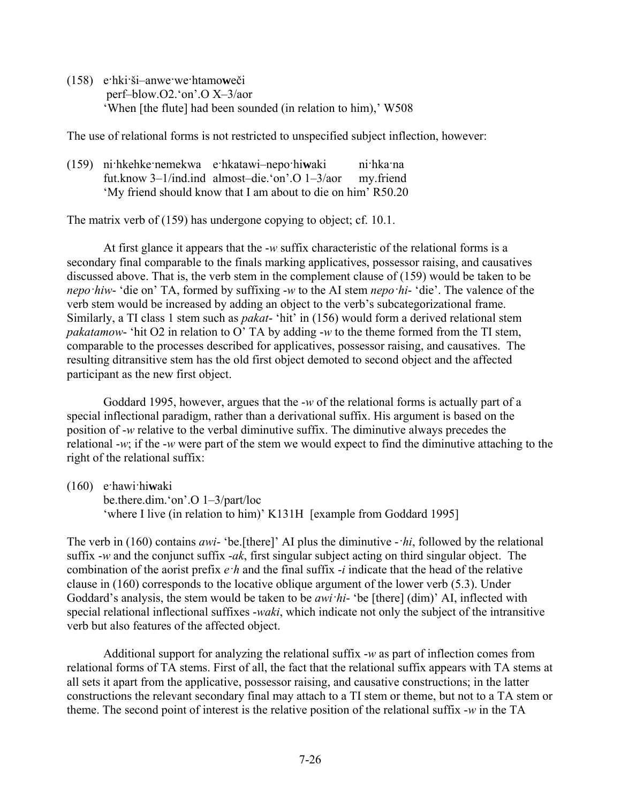(158) e·hki·ši–anwe·we·htamo**w**eči perf–blow.O2.'on'.O X–3/aor 'When [the flute] had been sounded (in relation to him),' W508

The use of relational forms is not restricted to unspecified subject inflection, however:

(159) ni·hkehke·nemekwa e·hkatawi–nepo·hi**w**aki ni·hka·na fut.know 3–1/ind.ind almost–die.'on'.O 1–3/aor my.friend 'My friend should know that I am about to die on him' R50.20

The matrix verb of (159) has undergone copying to object; cf. 10.1.

At first glance it appears that the -*w* suffix characteristic of the relational forms is a secondary final comparable to the finals marking applicatives, possessor raising, and causatives discussed above. That is, the verb stem in the complement clause of (159) would be taken to be *nepo·hiw*- 'die on' TA, formed by suffixing -*w* to the AI stem *nepo·hi*- 'die'. The valence of the verb stem would be increased by adding an object to the verb's subcategorizational frame. Similarly, a TI class 1 stem such as *pakat*- 'hit' in (156) would form a derived relational stem *pakatamow*- 'hit O2 in relation to O' TA by adding -*w* to the theme formed from the TI stem, comparable to the processes described for applicatives, possessor raising, and causatives. The resulting ditransitive stem has the old first object demoted to second object and the affected participant as the new first object.

Goddard 1995, however, argues that the -*w* of the relational forms is actually part of a special inflectional paradigm, rather than a derivational suffix. His argument is based on the position of -*w* relative to the verbal diminutive suffix. The diminutive always precedes the relational -*w*; if the -*w* were part of the stem we would expect to find the diminutive attaching to the right of the relational suffix:

(160) e·hawi·hi**w**aki be.there.dim.'on'.O 1–3/part/loc 'where I live (in relation to him)' K131H [example from Goddard 1995]

The verb in (160) contains *awi*- 'be.[there]' AI plus the diminutive -*·hi*, followed by the relational suffix -*w* and the conjunct suffix -*ak*, first singular subject acting on third singular object. The combination of the aorist prefix *e·h* and the final suffix -*i* indicate that the head of the relative clause in (160) corresponds to the locative oblique argument of the lower verb (5.3). Under Goddard's analysis, the stem would be taken to be *awi·hi*- 'be [there] (dim)' AI, inflected with special relational inflectional suffixes -*waki*, which indicate not only the subject of the intransitive verb but also features of the affected object.

Additional support for analyzing the relational suffix -*w* as part of inflection comes from relational forms of TA stems. First of all, the fact that the relational suffix appears with TA stems at all sets it apart from the applicative, possessor raising, and causative constructions; in the latter constructions the relevant secondary final may attach to a TI stem or theme, but not to a TA stem or theme. The second point of interest is the relative position of the relational suffix -*w* in the TA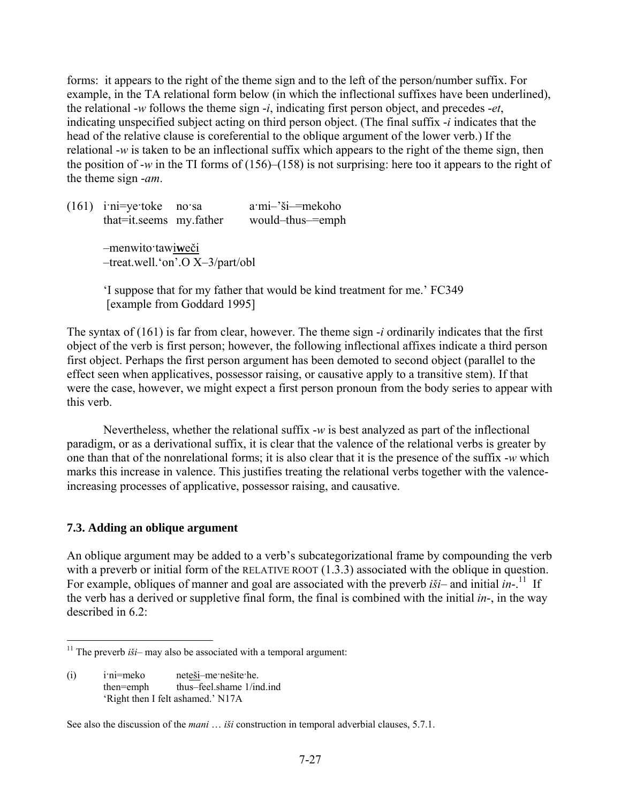forms: it appears to the right of the theme sign and to the left of the person/number suffix. For example, in the TA relational form below (in which the inflectional suffixes have been underlined), the relational -*w* follows the theme sign -*i*, indicating first person object, and precedes -*et*, indicating unspecified subject acting on third person object. (The final suffix -*i* indicates that the head of the relative clause is coreferential to the oblique argument of the lower verb.) If the relational -*w* is taken to be an inflectional suffix which appears to the right of the theme sign, then the position of -*w* in the TI forms of (156)–(158) is not surprising: here too it appears to the right of the theme sign -*am*.

(161) i·ni=ye·toke no·sa a·mi–'ši–=mekoho that=it.seems my.father would–thus–=emph –menwito·tawi**w**eči –treat.well.'on'.O X–3/part/obl

> 'I suppose that for my father that would be kind treatment for me.' FC349 [example from Goddard 1995]

The syntax of (161) is far from clear, however. The theme sign -*i* ordinarily indicates that the first object of the verb is first person; however, the following inflectional affixes indicate a third person first object. Perhaps the first person argument has been demoted to second object (parallel to the effect seen when applicatives, possessor raising, or causative apply to a transitive stem). If that were the case, however, we might expect a first person pronoun from the body series to appear with this verb.

Nevertheless, whether the relational suffix -*w* is best analyzed as part of the inflectional paradigm, or as a derivational suffix, it is clear that the valence of the relational verbs is greater by one than that of the nonrelational forms; it is also clear that it is the presence of the suffix -*w* which marks this increase in valence. This justifies treating the relational verbs together with the valenceincreasing processes of applicative, possessor raising, and causative.

#### **7.3. Adding an oblique argument**

<u>.</u>

An oblique argument may be added to a verb's subcategorizational frame by compounding the verb with a preverb or initial form of the RELATIVE ROOT  $(1.3.3)$  associated with the oblique in question. For example, obliques of manner and goal are associated with the preverb  $i\ddot{s}i$ – and initial  $in$ <sup>-11</sup> If the verb has a derived or suppletive final form, the final is combined with the initial *in*-, in the way described in 6.2:

(i) i·ni=meko neteši–me·nešite·he. then=emph thus–feel.shame 1/ind.ind 'Right then I felt ashamed.' N17A

See also the discussion of the *mani* … *iši* construction in temporal adverbial clauses, 5.7.1.

<sup>&</sup>lt;sup>11</sup> The preverb  $i\ddot{s}i$ – may also be associated with a temporal argument: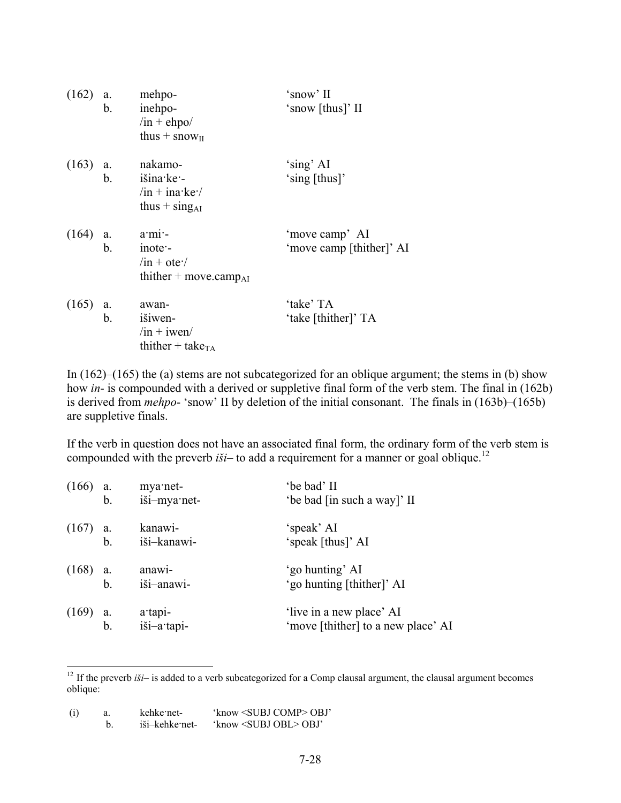|       | $(162)$ a.<br>b. | mehpo-<br>inehpo-<br>$/in + e hpo/$<br>thus $+$ snow <sub>II</sub>                                   | 'snow' II<br>'snow [thus]' II              |
|-------|------------------|------------------------------------------------------------------------------------------------------|--------------------------------------------|
|       | $b_{\cdot}$      | $(163)$ a. nakamo-<br>išina ke -<br>$\sin + \text{ina}$ ke $\sqrt{ }$<br>thus $+$ sing <sub>AI</sub> | 'sing' AI<br>'sing [thus]'                 |
|       | $b_{-}$          | $(164)$ a. $a·mi·-$<br>inote -<br>$\sin + \text{ote}$<br>thither $+$ move.camp <sub>AI</sub>         | 'move camp' AI<br>'move camp [thither]' AI |
| (165) | a.<br>b.         | awan-<br>išiwen-<br>$/in + iwen/$<br>thither + take <sub>TA</sub>                                    | 'take' TA<br>'take [thither]' TA           |

In (162)–(165) the (a) stems are not subcategorized for an oblique argument; the stems in (b) show how *in*- is compounded with a derived or suppletive final form of the verb stem. The final in (162b) is derived from *mehpo*- 'snow' II by deletion of the initial consonant. The finals in (163b)–(165b) are suppletive finals.

If the verb in question does not have an associated final form, the ordinary form of the verb stem is compounded with the preverb *iši*– to add a requirement for a manner or goal oblique.<sup>12</sup>

| $(166)$ a.       | $\mathbf b$ . | mya·net-<br>iši-mya·net- | 'be bad' II<br>'be bad [in such a way]' II                     |
|------------------|---------------|--------------------------|----------------------------------------------------------------|
| $(167)$ a.<br>b. |               | kanawi-<br>iši-kanawi-   | 'speak' AI<br>'speak [thus]' AI                                |
| $(168)$ a.<br>b. |               | anawi-<br>iši-anawi-     | 'go hunting' AI<br>'go hunting [thither]' AI                   |
| $(169)$ a.<br>b. |               | a tapi-<br>iši-a·tapi-   | 'live in a new place' AI<br>'move [thither] to a new place' AI |

 $12$  If the preverb *iši*– is added to a verb subcategorized for a Comp clausal argument, the clausal argument becomes oblique:

| (i) | kehke net-     | 'know <subj comp=""> OBJ'</subj> |
|-----|----------------|----------------------------------|
|     | iši–kehke net- | 'know <subj obl=""> OBJ'</subj>  |

1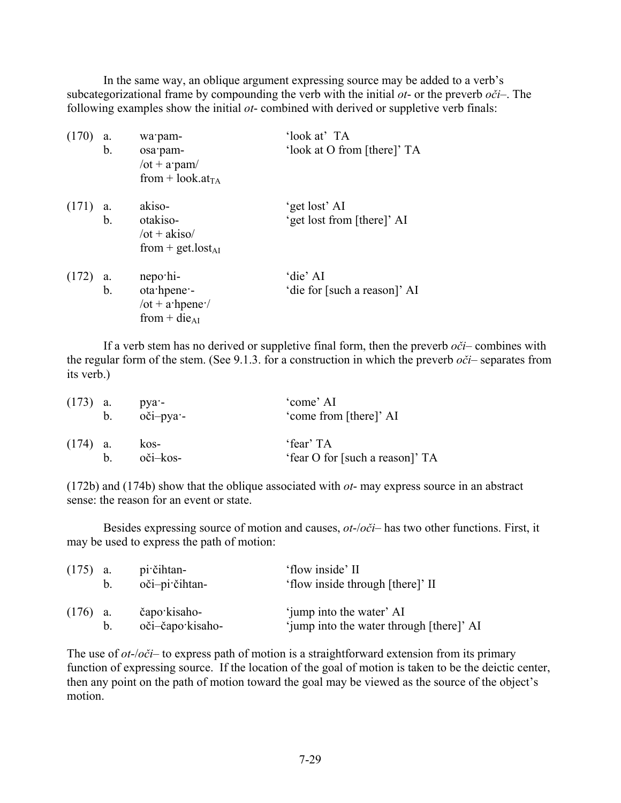In the same way, an oblique argument expressing source may be added to a verb's subcategorizational frame by compounding the verb with the initial *ot*- or the preverb *oči*–. The following examples show the initial *ot*- combined with derived or suppletive verb finals:

| (170)      | a.<br>b. | wa pam-<br>osa pam-<br>/ot + $a$ pam/<br>from + look.at <sub>TA</sub>                                     | 'look at' TA<br>'look at O from [there]' TA |
|------------|----------|-----------------------------------------------------------------------------------------------------------|---------------------------------------------|
| $(171)$ a. | b.       | akiso-<br>otakiso-<br>$\sqrt{ot} + a$ kiso<br>from + get.lost <sub>AI</sub>                               | 'get lost' AI<br>'get lost from [there]' AI |
| $(172)$ a. | b.       | nepo hi-<br>ota hpene -<br>$\sqrt{\text{ot} + \text{a} \cdot \text{hpene}}$<br>from $+$ die <sub>AI</sub> | 'die' AI<br>'die for [such a reason]' AI    |

If a verb stem has no derived or suppletive final form, then the preverb *oči*– combines with the regular form of the stem. (See 9.1.3. for a construction in which the preverb *oči*– separates from its verb.)

| $(173)$ a. |   | $p\nu a$ -<br>b. oči-pya- | 'come' AI<br>'come from [there]' AI          |
|------------|---|---------------------------|----------------------------------------------|
| $(174)$ a. | h | kos-<br>oči–kos-          | 'fear' TA<br>'fear O for [such a reason]' TA |

(172b) and (174b) show that the oblique associated with *ot*- may express source in an abstract sense: the reason for an event or state.

Besides expressing source of motion and causes, *ot*-/*oči*– has two other functions. First, it may be used to express the path of motion:

| $(175)$ a. | $b_{-}$ | pi čihtan-<br>$o\text{či}-pi\text{'cithtan-}$ | 'flow inside' II<br>'flow inside through [there]' II                 |
|------------|---------|-----------------------------------------------|----------------------------------------------------------------------|
| $(176)$ a. | b.      | čapo kisaho-<br>oči-čapo kisaho-              | 'jump into the water' AI<br>'jump into the water through [there]' AI |

The use of *ot*-/*oči*– to express path of motion is a straightforward extension from its primary function of expressing source. If the location of the goal of motion is taken to be the deictic center, then any point on the path of motion toward the goal may be viewed as the source of the object's motion.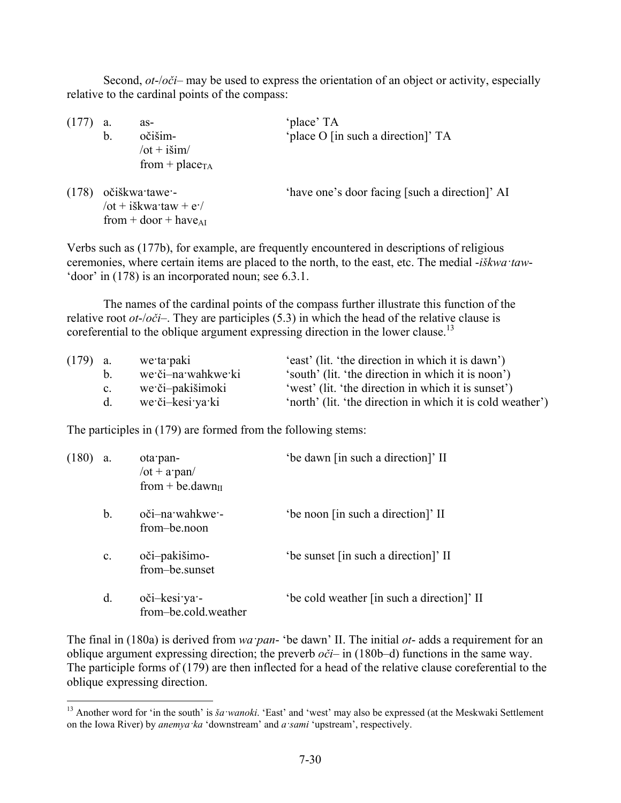Second, *ot*-/*oči*– may be used to express the orientation of an object or activity, especially relative to the cardinal points of the compass:

| (177) | a. | as-                        | 'place' TA                                     |
|-------|----|----------------------------|------------------------------------------------|
|       | b. | očišim-                    | 'place O [in such a direction]' TA             |
|       |    | $\sqrt{ot + i\sinh}$       |                                                |
|       |    | from + place <sub>TA</sub> |                                                |
| (178) |    | očiškwa tawe -             | 'have one's door facing [such a direction]' AI |
|       |    | /ot + iškwa·taw + $e$ ·/   |                                                |
|       |    | from + $door + have_{AI}$  |                                                |

Verbs such as (177b), for example, are frequently encountered in descriptions of religious ceremonies, where certain items are placed to the north, to the east, etc. The medial -*iškwa·taw*- 'door' in (178) is an incorporated noun; see 6.3.1.

The names of the cardinal points of the compass further illustrate this function of the relative root *ot*-/*oči*–. They are participles (5.3) in which the head of the relative clause is coreferential to the oblique argument expressing direction in the lower clause.<sup>13</sup>

| $(179)$ a. |             | we ta paki         | 'east' (lit. 'the direction in which it is dawn')          |
|------------|-------------|--------------------|------------------------------------------------------------|
|            |             | we či-na wahkwe ki | 'south' (lit. 'the direction in which it is noon')         |
|            | $c_{\cdot}$ | we či-pakišimoki   | 'west' (lit. 'the direction in which it is sunset')        |
|            | d.          | we či-kesi ya ki   | 'north' (lit. 'the direction in which it is cold weather') |

The participles in (179) are formed from the following stems:

1

| (180) | a.             | ota pan-<br>$\sqrt{ot} + a$ pan $\sqrt{g}$<br>from + be.dawn $\pi$ | 'be dawn [in such a direction]' II         |
|-------|----------------|--------------------------------------------------------------------|--------------------------------------------|
|       | $b_{\cdot}$    | oči-na wahkwe -<br>from-be.noon                                    | 'be noon [in such a direction]' II         |
|       | $\mathbf{c}$ . | oči-pakišimo-<br>from-be.sunset                                    | 'be sunset [in such a direction]' II       |
|       | d.             | oči-kesi ya -<br>from-be.cold.weather                              | 'be cold weather [in such a direction]' II |

The final in (180a) is derived from *wa·pan*- 'be dawn' II. The initial *ot*- adds a requirement for an oblique argument expressing direction; the preverb *oči*– in (180b–d) functions in the same way. The participle forms of (179) are then inflected for a head of the relative clause coreferential to the oblique expressing direction.

<sup>&</sup>lt;sup>13</sup> Another word for 'in the south' is *ša wanoki*. 'East' and 'west' may also be expressed (at the Meskwaki Settlement on the Iowa River) by *anemya·ka* 'downstream' and *a·sami* 'upstream', respectively.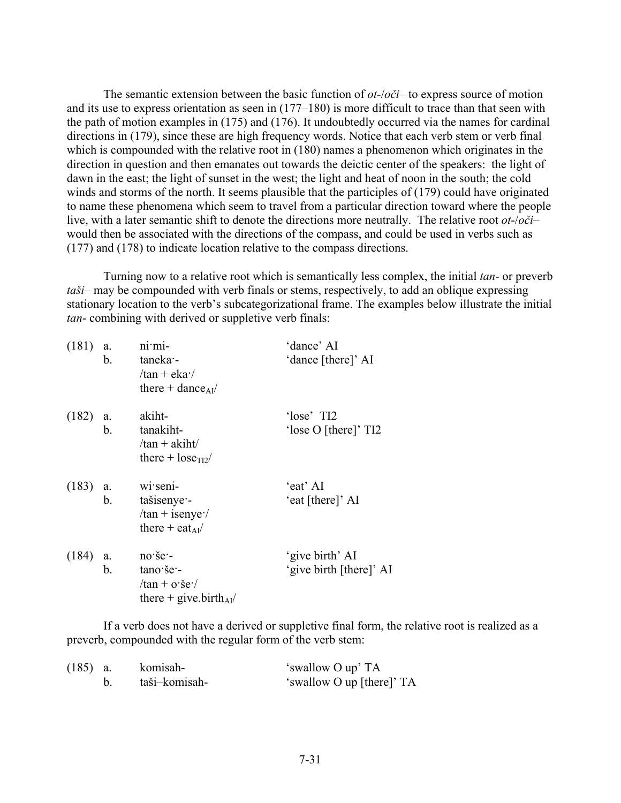The semantic extension between the basic function of *ot*-/*oči*– to express source of motion and its use to express orientation as seen in (177–180) is more difficult to trace than that seen with the path of motion examples in (175) and (176). It undoubtedly occurred via the names for cardinal directions in (179), since these are high frequency words. Notice that each verb stem or verb final which is compounded with the relative root in (180) names a phenomenon which originates in the direction in question and then emanates out towards the deictic center of the speakers: the light of dawn in the east; the light of sunset in the west; the light and heat of noon in the south; the cold winds and storms of the north. It seems plausible that the participles of (179) could have originated to name these phenomena which seem to travel from a particular direction toward where the people live, with a later semantic shift to denote the directions more neutrally. The relative root *ot*-/*oči*– would then be associated with the directions of the compass, and could be used in verbs such as (177) and (178) to indicate location relative to the compass directions.

Turning now to a relative root which is semantically less complex, the initial *tan*- or preverb *taši*– may be compounded with verb finals or stems, respectively, to add an oblique expressing stationary location to the verb's subcategorizational frame. The examples below illustrate the initial *tan*- combining with derived or suppletive verb finals:

| (181)      | a.<br>$b_{-}$ | $n$ i $m$ i-<br>taneka -<br>$/\tan + e$ ka $\cdot$<br>there + dance $_{AI}$ /               | 'dance' AI<br>'dance [there]' AI           |
|------------|---------------|---------------------------------------------------------------------------------------------|--------------------------------------------|
| $(182)$ a. | $b_{-}$       | akiht-<br>tanakiht-<br>$/\tan + akiht/$<br>there $+$ lose <sub>TI2</sub> /                  | 'lose' TI2<br>'lose O [there]' TI2         |
| $(183)$ a. | b.            | wi seni-<br>tašisenye -<br>$/\tan + i$ senye:/<br>there + eat <sub>AI</sub> /               | 'eat' AI<br>'eat [there]' AI               |
| (184)      | a.<br>b.      | $no \succeq$ .<br>tano še -<br>$/\tan + o \cdot \sec$<br>there + give.birth <sub>AI</sub> / | 'give birth' AI<br>'give birth [there]' AI |

If a verb does not have a derived or suppletive final form, the relative root is realized as a preverb, compounded with the regular form of the verb stem:

| $(185)$ a. | komisah-      | 'swallow O up' TA         |
|------------|---------------|---------------------------|
|            | taši–komisah- | 'swallow O up [there]' TA |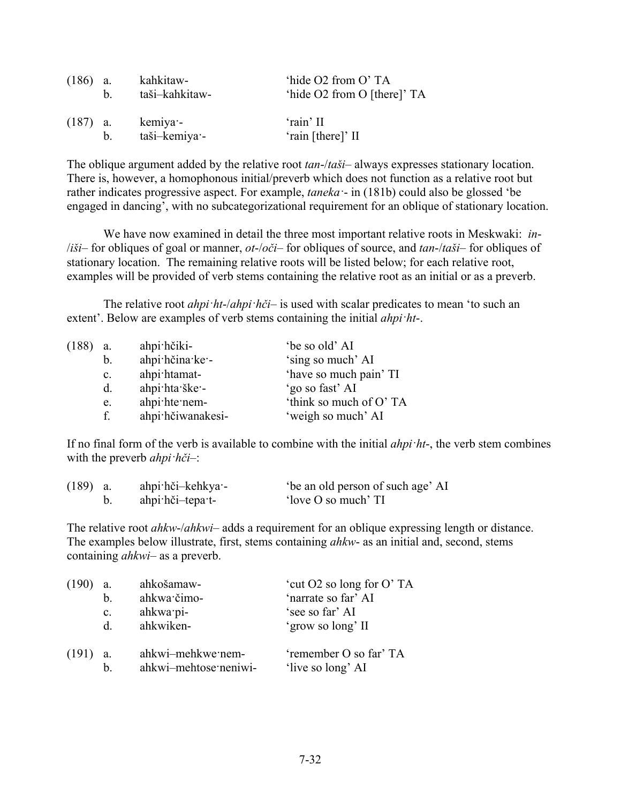| $(186)$ a. | h       | kahkitaw-<br>taši-kahkitaw- | 'hide O2 from O'TA<br>'hide O2 from O [there]' TA |
|------------|---------|-----------------------------|---------------------------------------------------|
| $(187)$ a. | $b_{-}$ | kemiya -<br>taši–kemiya·    | 'rain' II<br>'rain [there]' II                    |

The oblique argument added by the relative root *tan*-/*taši*– always expresses stationary location. There is, however, a homophonous initial/preverb which does not function as a relative root but rather indicates progressive aspect. For example, *taneka·*- in (181b) could also be glossed 'be engaged in dancing', with no subcategorizational requirement for an oblique of stationary location.

We have now examined in detail the three most important relative roots in Meskwaki: *in*- /*iši*– for obliques of goal or manner, *ot*-/*oči*– for obliques of source, and *tan*-/*taši*– for obliques of stationary location. The remaining relative roots will be listed below; for each relative root, examples will be provided of verb stems containing the relative root as an initial or as a preverb.

The relative root *ahpi·ht*-/*ahpi·hči*– is used with scalar predicates to mean 'to such an extent'. Below are examples of verb stems containing the initial *ahpi·ht*-.

| (188) | a.             | ahpi hčiki-       | 'be so old' AI         |
|-------|----------------|-------------------|------------------------|
|       | b.             | ahpi hčina ke -   | 'sing so much' AI      |
|       | $\mathbf{c}$ . | ahpi htamat-      | 'have so much pain' TI |
|       | d.             | ahpi hta ške -    | 'go so fast' AI        |
|       | e.             | ahpi hte nem-     | 'think so much of O'TA |
|       | f.             | ahpi hčiwanakesi- | 'weigh so much' AI     |

If no final form of the verb is available to combine with the initial *ahpi·ht*-, the verb stem combines with the preverb *ahpi·hči*–:

| $(189)$ a. | ahpi hči-kehkya - | be an old person of such age' AI |
|------------|-------------------|----------------------------------|
|            | ahpi hči-tepa t-  | 'love O so much' TI              |

The relative root *ahkw*-/*ahkwi*– adds a requirement for an oblique expressing length or distance. The examples below illustrate, first, stems containing *ahkw*- as an initial and, second, stems containing *ahkwi*– as a preverb.

| (190) | a.             | ahkošamaw-                                 | 'cut O2 so long for O' TA                   |
|-------|----------------|--------------------------------------------|---------------------------------------------|
|       | b.             | ahkwa čimo-                                | 'narrate so far' AI                         |
|       | $\mathbf{c}$ . | ahkwa pi-                                  | 'see so far' AI                             |
|       | <sub>d</sub>   | ahkwiken-                                  | 'grow so long' II                           |
| (191) | b.             | ahkwi-mehkwe nem-<br>ahkwi-mehtose neniwi- | 'remember O so far' TA<br>'live so long' AI |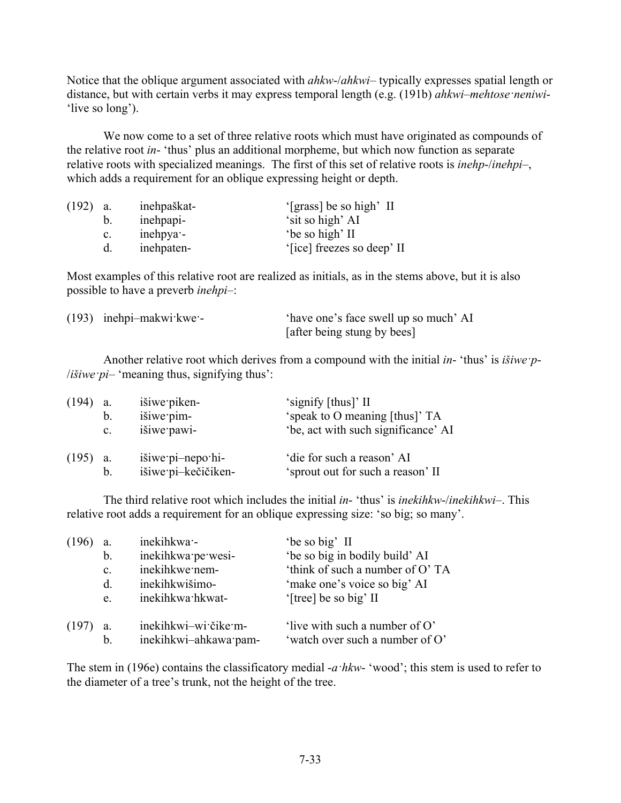Notice that the oblique argument associated with *ahkw*-/*ahkwi*– typically expresses spatial length or distance, but with certain verbs it may express temporal length (e.g. (191b) *ahkwi–mehtose·neniwi*- 'live so long').

We now come to a set of three relative roots which must have originated as compounds of the relative root *in*- 'thus' plus an additional morpheme, but which now function as separate relative roots with specialized meanings. The first of this set of relative roots is *inehp*-/*inehpi*–, which adds a requirement for an oblique expressing height or depth.

| (192) | a.             | inehpaškat- | '[grass] be so high' II    |
|-------|----------------|-------------|----------------------------|
|       | b.             | inehpapi-   | 'sit so high' AI           |
|       | $\mathbf{c}$ . | inehpya -   | 'be so high' II            |
|       | d.             | inehpaten-  | '[ice] freezes so deep' II |

Most examples of this relative root are realized as initials, as in the stems above, but it is also possible to have a preverb *inehpi*–:

| $(193)$ inehpi-makwi $kwe$ | 'have one's face swell up so much' AI |
|----------------------------|---------------------------------------|
|                            | [after being stung by bees]           |

Another relative root which derives from a compound with the initial *in*- 'thus' is *išiwe·p*- /*išiwe·pi*– 'meaning thus, signifying thus':

| (194) | a.             | išiwe piken-        | 'signify [thus]' II                 |
|-------|----------------|---------------------|-------------------------------------|
|       | b.             | išiwe pim-          | 'speak to O meaning [thus]' TA      |
|       | $\mathbf{c}$ . | išiwe pawi-         | 'be, act with such significance' AI |
| (195) | a.             | išiwe pi-nepo hi-   | 'die for such a reason' AI          |
|       | b.             | išiwe pi-kečičiken- | 'sprout out for such a reason' II   |

The third relative root which includes the initial *in*- 'thus' is *inekihkw*-/*inekihkwi*–. This relative root adds a requirement for an oblique expressing size: 'so big; so many'.

| (196) | a.             | inekihkwa -           | 'be so big' II                  |
|-------|----------------|-----------------------|---------------------------------|
|       | b.             | inekihkwa pe wesi-    | 'be so big in bodily build' AI  |
|       | $\mathbf{c}$ . | inekihkwe nem-        | 'think of such a number of O'TA |
|       | d.             | inekihkwišimo-        | 'make one's voice so big' AI    |
|       | e.             | inekihkwa hkwat-      | '[tree] be so big' II           |
| (197) | a.             | inekihkwi-wi čike m-  | 'live with such a number of O'  |
|       | b.             | inekihkwi-ahkawa pam- | 'watch over such a number of O' |

The stem in (196e) contains the classificatory medial -*a·hkw*- 'wood'; this stem is used to refer to the diameter of a tree's trunk, not the height of the tree.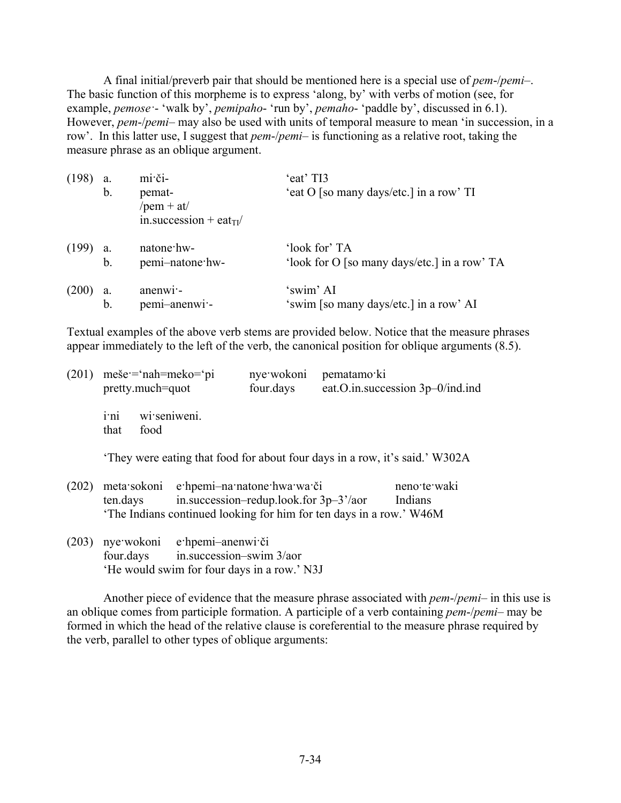A final initial/preverb pair that should be mentioned here is a special use of *pem*-/*pemi*–. The basic function of this morpheme is to express 'along, by' with verbs of motion (see, for example, *pemose·*- 'walk by', *pemipaho*- 'run by', *pemaho*- 'paddle by', discussed in 6.1). However, *pem*-/*pemi*– may also be used with units of temporal measure to mean 'in succession, in a row'. In this latter use, I suggest that *pem*-/*pemi*– is functioning as a relative root, taking the measure phrase as an oblique argument.

| (198) | a. | mi či-                              | 'eat' TI3                                    |
|-------|----|-------------------------------------|----------------------------------------------|
|       | b. | pemat-                              | 'eat O [so many days/etc.] in a row' TI      |
|       |    | /pem + at/                          |                                              |
|       |    | in.succession + eat <sub>TI</sub> / |                                              |
| (199) | a. | natone hw-                          | 'look for' TA                                |
|       | b. | pemi-natone hw-                     | 'look for O [so many days/etc.] in a row' TA |
| (200) | a. | anenwi-                             | 'swim' AI                                    |
|       | b. | pemi-anenwi-                        | 'swim [so many days/etc.] in a row' AI       |

Textual examples of the above verb stems are provided below. Notice that the measure phrases appear immediately to the left of the verb, the canonical position for oblique arguments (8.5).

| (201) | $me\breve{\bm{e}} = \hat{\bm{n}}$ ah=meko= $\breve{\bm{n}}$<br>pretty.much=quot |                      | four.days | nye wokoni pematamo ki<br>eat.O.in.succession 3p-0/ind.ind |
|-------|---------------------------------------------------------------------------------|----------------------|-----------|------------------------------------------------------------|
|       | i <sup>ni</sup><br>that                                                         | wi seniweni.<br>food |           |                                                            |

'They were eating that food for about four days in a row, it's said.' W302A

|                                                                    | (202) meta sokoni e hpemi-na natone hwa wa či | neno te waki |
|--------------------------------------------------------------------|-----------------------------------------------|--------------|
| ten.days                                                           | in.succession-redup.look.for $3p-3'/a$ or     | Indians      |
| The Indians continued looking for him for ten days in a row.' W46M |                                               |              |

(203) nye·wokoni e·hpemi–anenwi·či four.days in.succession–swim 3/aor 'He would swim for four days in a row.' N3J

Another piece of evidence that the measure phrase associated with *pem*-/*pemi*– in this use is an oblique comes from participle formation. A participle of a verb containing *pem*-/*pemi*– may be formed in which the head of the relative clause is coreferential to the measure phrase required by the verb, parallel to other types of oblique arguments: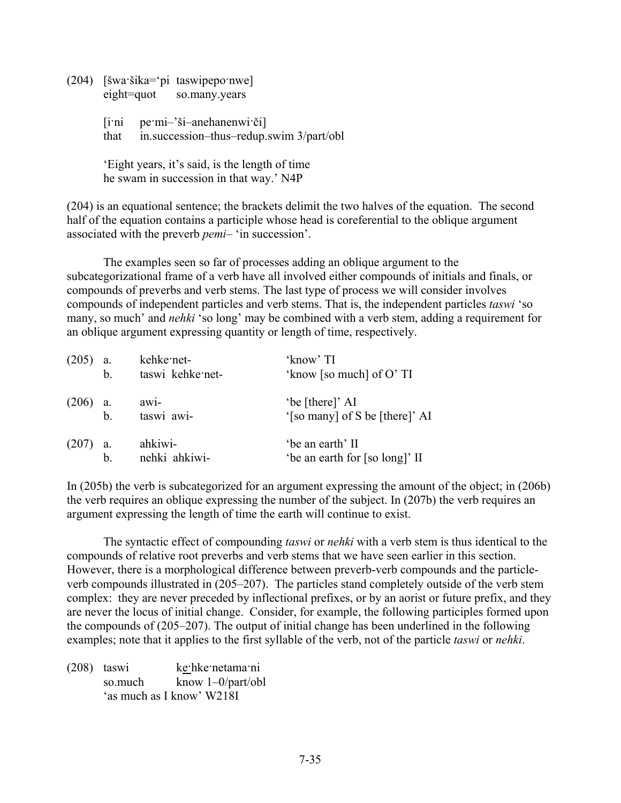(204) [šwa·šika='pi taswipepo·nwe] eight=quot so.many.years

> [i·ni pe·mi–'ši–anehanenwi·či] that in.succession–thus–redup.swim 3/part/obl

'Eight years, it's said, is the length of time he swam in succession in that way.' N4P

(204) is an equational sentence; the brackets delimit the two halves of the equation. The second half of the equation contains a participle whose head is coreferential to the oblique argument associated with the preverb *pemi*– 'in succession'.

The examples seen so far of processes adding an oblique argument to the subcategorizational frame of a verb have all involved either compounds of initials and finals, or compounds of preverbs and verb stems. The last type of process we will consider involves compounds of independent particles and verb stems. That is, the independent particles *taswi* 'so many, so much' and *nehki* 'so long' may be combined with a verb stem, adding a requirement for an oblique argument expressing quantity or length of time, respectively.

| (205)      | a.  | kehke net-       | 'know' TI                      |
|------------|-----|------------------|--------------------------------|
|            | b.  | taswi kehke net- | 'know [so much] of $O'$ TI     |
| $(206)$ a. |     | $aw1-$           | 'be [there]' AI                |
|            | $b$ | taswi awi-       | '[so many] of S be [there]' AI |
| $(207)$ a. |     | ahkiwi-          | 'be an earth' II               |
|            | b.  | nehki ahkiwi-    | 'be an earth for [so long]' II |

In (205b) the verb is subcategorized for an argument expressing the amount of the object; in (206b) the verb requires an oblique expressing the number of the subject. In (207b) the verb requires an argument expressing the length of time the earth will continue to exist.

The syntactic effect of compounding *taswi* or *nehki* with a verb stem is thus identical to the compounds of relative root preverbs and verb stems that we have seen earlier in this section. However, there is a morphological difference between preverb-verb compounds and the particleverb compounds illustrated in (205–207). The particles stand completely outside of the verb stem complex: they are never preceded by inflectional prefixes, or by an aorist or future prefix, and they are never the locus of initial change. Consider, for example, the following participles formed upon the compounds of (205–207). The output of initial change has been underlined in the following examples; note that it applies to the first syllable of the verb, not of the particle *taswi* or *nehki*.

(208) taswi ke·hke·netama·ni so.much know 1–0/part/obl 'as much as I know' W218I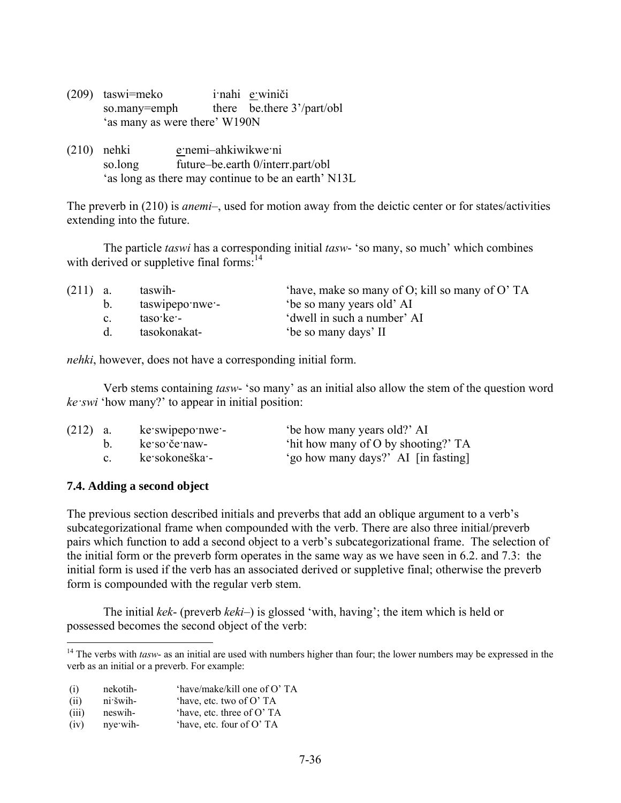- (209) taswi=meko i·nahi e·winiči so.many=emph there be.there 3'/part/obl 'as many as were there' W190N
- (210) nehki enemi-ahkiwikwe ni so.long future–be.earth 0/interr.part/obl 'as long as there may continue to be an earth' N13L

The preverb in (210) is *anemi*–, used for motion away from the deictic center or for states/activities extending into the future.

The particle *taswi* has a corresponding initial *tasw*- 'so many, so much' which combines with derived or suppletive final forms: $14$ 

| $(211)$ a.  | taswih-         | 'have, make so many of O; kill so many of O' TA |
|-------------|-----------------|-------------------------------------------------|
| $b_{\cdot}$ | taswipepo nwe - | 'be so many years old' AI                       |
| $c_{\cdot}$ | taso ke -       | 'dwell in such a number' AI                     |
|             | tasokonakat-    | 'be so many days' II                            |
|             |                 |                                                 |

*nehki*, however, does not have a corresponding initial form.

Verb stems containing *tasw*- 'so many' as an initial also allow the stem of the question word *ke·swi* 'how many?' to appear in initial position:

| $(212)$ a. |                | ke swipepo nwe - | 'be how many years old?' AI         |
|------------|----------------|------------------|-------------------------------------|
|            |                | ke so če naw-    | 'hit how many of O by shooting?' TA |
|            | $\mathbf{c}$ . | ke sokoneška -   | 'go how many days?' AI [in fasting] |

## **7.4. Adding a second object**

<u>.</u>

The previous section described initials and preverbs that add an oblique argument to a verb's subcategorizational frame when compounded with the verb. There are also three initial/preverb pairs which function to add a second object to a verb's subcategorizational frame. The selection of the initial form or the preverb form operates in the same way as we have seen in 6.2. and 7.3: the initial form is used if the verb has an associated derived or suppletive final; otherwise the preverb form is compounded with the regular verb stem.

The initial *kek*- (preverb *keki*–) is glossed 'with, having'; the item which is held or possessed becomes the second object of the verb:

- (i) nekotih- 'have/make/kill one of O' TA
- (ii) ni·šwih- 'have, etc. two of O' TA
- (iii) neswih- 'have, etc. three of O' TA
- (iv) nye·wih- 'have, etc. four of O' TA

<sup>&</sup>lt;sup>14</sup> The verbs with *tasw*- as an initial are used with numbers higher than four; the lower numbers may be expressed in the verb as an initial or a preverb. For example: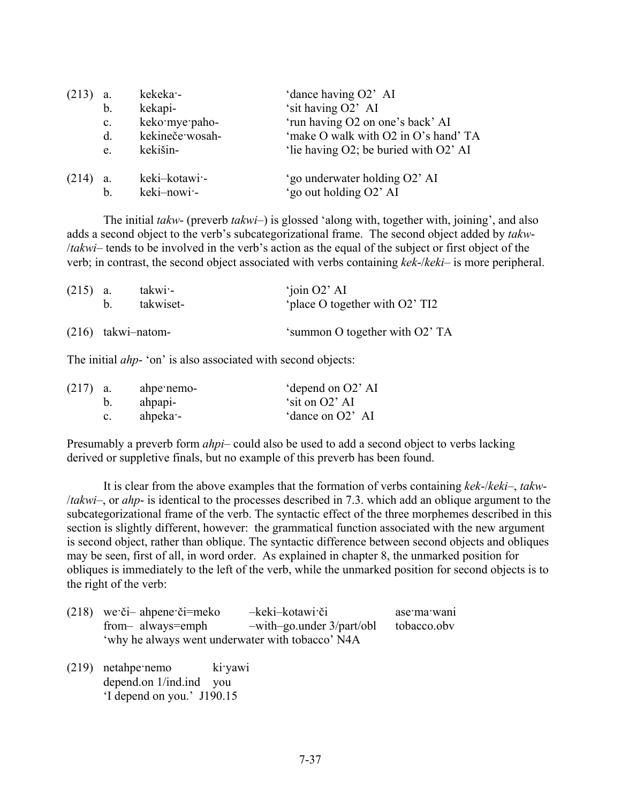|       | a.             | kekeka -        | 'dance having O2' AI                  |
|-------|----------------|-----------------|---------------------------------------|
|       | b.             | kekapi-         | 'sit having O2' AI                    |
|       | $\mathbf{c}$ . | keko mye paho-  | 'run having O2 on one's back' AI      |
|       | $d_{\cdot}$    | kekineče wosah- | 'make O walk with O2 in O's hand' TA  |
|       | e.             | kekišin-        | 'lie having O2; be buried with O2' AI |
| (214) | a.             | keki–kotawi -   | 'go underwater holding O2' AI         |
|       | b.             | keki-nowi-      | 'go out holding O2' AI                |

The initial *takw*- (preverb *takwi*–) is glossed 'along with, together with, joining', and also adds a second object to the verb's subcategorizational frame. The second object added by *takw*- /*takwi*– tends to be involved in the verb's action as the equal of the subject or first object of the verb; in contrast, the second object associated with verbs containing *kek*-/*keki*– is more peripheral.

| $(215)$ a. |                      | takwi -<br>takwiset- | $^{\circ}$ join O2' AI<br>'place O together with O2' TI2 |
|------------|----------------------|----------------------|----------------------------------------------------------|
|            | $(216)$ takwi-natom- |                      | 'summon O together with O2' TA                           |

The initial *ahp*- 'on' is also associated with second objects:

| $(217)$ a. |         | ahpe nemo-       | 'depend on O2' AI |
|------------|---------|------------------|-------------------|
|            |         | ahpapi-          | 'sit on O2' AI    |
|            | $c_{-}$ | ahpeka $\cdot$ - | 'dance on O2' AI  |

Presumably a preverb form *ahpi*– could also be used to add a second object to verbs lacking derived or suppletive finals, but no example of this preverb has been found.

It is clear from the above examples that the formation of verbs containing *kek*-/*keki*–, *takw*- /*takwi*–, or *ahp*- is identical to the processes described in 7.3. which add an oblique argument to the subcategorizational frame of the verb. The syntactic effect of the three morphemes described in this section is slightly different, however: the grammatical function associated with the new argument is second object, rather than oblique. The syntactic difference between second objects and obliques may be seen, first of all, in word order. As explained in chapter 8, the unmarked position for obliques is immediately to the left of the verb, while the unmarked position for second objects is to the right of the verb:

| $(218)$ we či – ahpene či – meko                 | -keki-kotawi či                 | ase ma wani |
|--------------------------------------------------|---------------------------------|-------------|
| from- always=emph                                | $-with-go.$ under $3$ /part/obl | tobacco.obv |
| 'why he always went underwater with tobacco' N4A |                                 |             |

(219) netahpe·nemo ki·yawi depend.on 1/ind.ind you 'I depend on you.' J190.15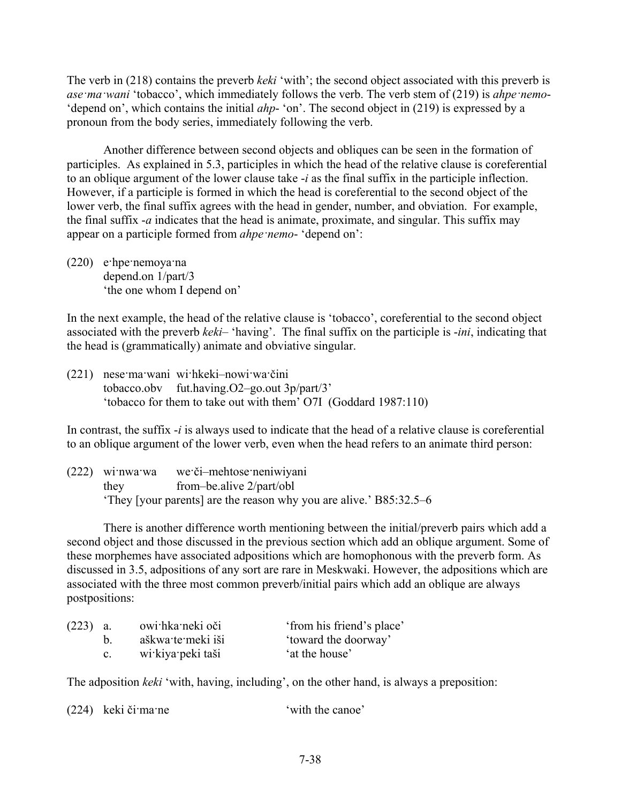The verb in (218) contains the preverb *keki* 'with'; the second object associated with this preverb is *ase·ma·wani* 'tobacco', which immediately follows the verb. The verb stem of (219) is *ahpe·nemo*- 'depend on', which contains the initial *ahp*- 'on'. The second object in (219) is expressed by a pronoun from the body series, immediately following the verb.

Another difference between second objects and obliques can be seen in the formation of participles. As explained in 5.3, participles in which the head of the relative clause is coreferential to an oblique argument of the lower clause take -*i* as the final suffix in the participle inflection. However, if a participle is formed in which the head is coreferential to the second object of the lower verb, the final suffix agrees with the head in gender, number, and obviation. For example, the final suffix -*a* indicates that the head is animate, proximate, and singular. This suffix may appear on a participle formed from *ahpe nemo*- 'depend on':

(220) e·hpe·nemoya·na depend.on 1/part/3 'the one whom I depend on'

In the next example, the head of the relative clause is 'tobacco', coreferential to the second object associated with the preverb *keki*– 'having'. The final suffix on the participle is -*ini*, indicating that the head is (grammatically) animate and obviative singular.

(221) nese·ma·wani wi·hkeki–nowi·wa·čini tobacco.obv fut.having.O2–go.out 3p/part/3' 'tobacco for them to take out with them' O7I (Goddard 1987:110)

In contrast, the suffix -*i* is always used to indicate that the head of a relative clause is coreferential to an oblique argument of the lower verb, even when the head refers to an animate third person:

(222) wi·nwa·wa we·či–mehtose·neniwiyani they from–be.alive 2/part/obl 'They [your parents] are the reason why you are alive.' B85:32.5–6

There is another difference worth mentioning between the initial/preverb pairs which add a second object and those discussed in the previous section which add an oblique argument. Some of these morphemes have associated adpositions which are homophonous with the preverb form. As discussed in 3.5, adpositions of any sort are rare in Meskwaki. However, the adpositions which are associated with the three most common preverb/initial pairs which add an oblique are always postpositions:

| $(223)$ a. |         | owi hka neki oči  | 'from his friend's place' |  |
|------------|---------|-------------------|---------------------------|--|
|            |         | aškwa te meki iši | 'toward the doorway'      |  |
|            | $c_{-}$ | wi kiya peki taši | 'at the house'            |  |

The adposition *keki* 'with, having, including', on the other hand, is always a preposition: